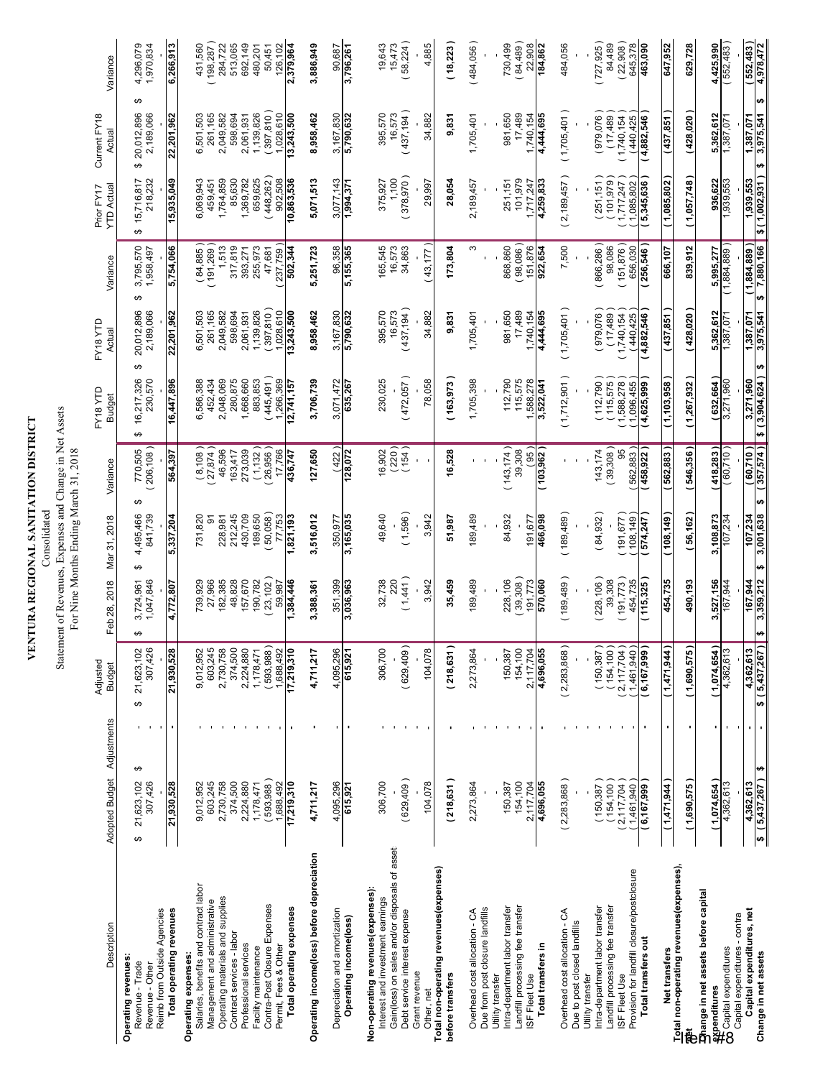$\vdash$ 

### Statement of Revenues, Expenses and Change in Net Assets<br>For Nine Months Ending March 31, 2018 Statement of Revenues, Expenses and Change in Net Assets

| Description                                                                                     | Adopted Budget Adjustments      |   | Adjusted<br><b>Budget</b>   | Feb 28, 2018                   | Mar 31, 2018         | Variance                   | FY18 YTD<br><b>Budget</b>                | FY18 YTD<br>Actual           | Variance                      | YTD Actual<br>Prior FY17   | Current FY18<br>Actual            | Variance               |
|-------------------------------------------------------------------------------------------------|---------------------------------|---|-----------------------------|--------------------------------|----------------------|----------------------------|------------------------------------------|------------------------------|-------------------------------|----------------------------|-----------------------------------|------------------------|
| Reimb from Outside Agencies<br><b>Operating revenues:</b><br>Revenue - Trade<br>Revenue - Other | ↮<br>21,623,102<br>307,426<br>↮ | ↮ | 21,623,102<br>307,426       | ↮<br>3,724,961<br>1,047,846    | 495,466<br>841,739   | 770,505<br>206,108)        | 16,217,326<br>230,570<br>Θ               | 2,189,066<br>20,012,896<br>↮ | 3,795,570<br>1,958,497        | 218,232<br>15,716,817<br>↮ | ക<br>20,012,896<br>2,189,066<br>↮ | 4,296,079<br>1,970,834 |
| Total operating revenues                                                                        | 21,930,528                      |   | 21,930,528                  | 4,772,807                      | 5,337,204            | 564,397                    | 16,447,896                               | 22,201,962                   | 5,754,066                     | 15,935.049                 | 22,201,962                        | 6,266,913              |
| Salaries, benefits and contract labor<br>Operating expenses:                                    | 9,012,952                       |   | 9,012,952                   | 739,929                        | 731,820              | (8,108)                    | 6,586,388                                | 6,501,503                    | $( 84, 885 )$<br>(191,269)    | 6,069,943                  | 6,501,503                         | 431,560                |
| Operating materials and supplies<br>Management and administrative                               | 603,245<br>2,730,758            |   | 2,730,758<br>603,245        | 27,966<br>182,385              | 228,981<br>5         | 27,874<br>46,596           | 2,048,069<br>452,434                     | 261,165<br>2,049,582         | 1,513                         | 1,764,859<br>459,451       | 261,165<br>2,049,582              | 284,722<br>198,287     |
| Contract services - labor                                                                       | 374,500                         |   | 374,500                     | 48,828                         | 212,245              | 163,417                    | 280,875                                  | 598,694                      | 317,819                       | 85,630                     | 598,694                           | 513,065                |
| Professional services<br>Facility maintenance                                                   | 2,224,880<br>,178,471           |   | 2,224,880<br>1,178,471      | 157,670<br>190,782             | 430,709<br>189,650   | (1, 132)<br>273,039        | 1,668,660<br>883,853                     | 139,826<br>2,061,931         | 255,973<br>393,271            | 659,625<br>1,369,782       | 1,139,826<br>2,061,931            | 692,149<br>480,201     |
| Contra-Post Closure Expenses                                                                    | 593,988)                        |   | 593,988)                    | 23,102                         | 50,058               | 26,956)                    | 445,491)                                 | (397, 810)                   | 47,681                        | (448, 262)                 | (397, 810)                        | 50,451                 |
| Total operating expenses<br>Permit, Fees & Other                                                | 17,219,310<br>,688,492          |   | 17,219,310<br>,688,492      | ,384,446<br>59,987             | 77,753<br>,821,193   | 17,766<br>436,747          | ,266,369<br>2,741,157                    | ,028,610<br>13,243,500       | 502,344<br>237,759            | 902,508<br>10,863,536      | 1,028,610<br>13,243,500           | 2,379,964<br>126,102   |
| Operating income(loss) before depreciation                                                      | 4,711,217                       |   | 4,711,217                   | 3,388,361                      | 3,516,012            | 127,650                    | 3,706,739                                | 8,958,462                    | 5,251,723                     | 5,071,513                  | 8,958,462                         | 3,886,949              |
| Depreciation and amortization                                                                   | 4,095,296                       |   | 4,095,296                   | 351,399                        | 350,977              | (422)                      | 3,071,472                                | 3,167,830                    | 96,358                        | 3,077,143                  | 3,167,830                         | 90,687                 |
| Operating income(loss)                                                                          | 615,921                         |   | 615,921                     | 3,036,963                      | 3,165,035            | 128,072                    | 635,267                                  | 5,790,632                    | 5,155,365                     | 1,994,371                  | 5,790,632                         | 3,796,261              |
| Non-operating revenues (expenses):<br>Interest and investment earnings                          | 306,700                         |   | 306,700                     | 32,738                         | 49,640               | 16,902                     | 230,025                                  | 395,570                      | 165,545                       | 375,927                    | 395,570                           | 19,643                 |
| Gain(loss) on sales and/or disposals of asset:<br>Debt service interest expense                 | (629, 409)                      |   | (629, 409)                  | (1,441)<br>220                 | (1,596)              | $(220)$<br>(154)           | (472,057)                                | (437, 194)<br>16,573         | 16,573<br>34,863              | (378, 970)<br>1,100        | (437, 194)<br>16,573              | (58, 224)<br>15,473    |
| Grant revenue<br>Other, net                                                                     | 104,078                         |   | 104,078                     | 3,942                          | 3,942                |                            | 78,058                                   | 34,882                       | (43,177)                      | 29,997                     | 34,882                            | 4,885                  |
| Total non-operating revenues (expenses)<br>before transfers                                     | (218, 631)                      |   | (218,631)                   | 35,459                         | 51,987               | 16,528                     | [163,973                                 | 9,831                        | 173,804                       | 28,054                     | 9,831                             | (18, 223)              |
| Overhead cost allocation - CA                                                                   | 2,273,864                       |   | 2,273,864                   | 189,489                        | 189,489              |                            | 1,705,398                                | 1,705,401                    | ω                             | 2,189,457                  | 1,705,401                         | (484,056)              |
| Due from post closure landfills<br>Utility transfer                                             |                                 |   |                             |                                |                      |                            |                                          |                              |                               |                            |                                   |                        |
| Intra-department labor transfer                                                                 | 150,387                         |   | 150,387                     | 228,106                        | 84,932               | (143, 174)                 | 112,790                                  | 981,650                      | 868,860                       | 251,151                    | 981,650                           | 730,499                |
| Landfill processing fee transfer<br>ISF Fleet Use                                               | 154,100<br>2,117,704            |   | 154,100<br>2.117,704        | 39,308<br>191,773              | 191,677              | (95)<br>39,308             | 115,575<br>1,588,278                     | 17,489<br>1,740,154          | $98,086$ )<br>151,876         | 101,979<br>1.717,247       | 17,489<br>1,740,154               | (84, 489)<br>22,908    |
| Total transfers in                                                                              | 4,696,055                       |   | 4,696,055                   | 570,060                        | 466,098              | (103,962)                  | 3,522,041                                | 4,444,695                    | 922,654                       | 4,259,833                  | 4,444,695                         | 184,862                |
| Overhead cost allocation - CA                                                                   | (2,283,868)                     |   | (2,283,868)                 | (189, 489)                     | (189, 489)           |                            | (1,712,901)                              | (1,705,401)                  | 7,500                         | (2, 189, 457)              | (1,705,401)                       | 484,056                |
| Due to post closed landfills<br>Utility transfer                                                |                                 |   |                             |                                |                      |                            |                                          |                              |                               |                            |                                   |                        |
| Intra-department labor transfer                                                                 | 150,387                         |   | 150,387)                    | (228, 106)<br>39,308           | (84, 932)            | (39,308)<br>143,174        | 112,790                                  | (979, 076)                   | (866, 286)<br>98,086          | 251,151                    | 979,076                           | 727,925<br>84,489      |
| Landfill processing fee transfer<br>ISF Fleet Use                                               | $(154, 100)$<br>$(2, 117, 704)$ |   | (2,117,704)<br>154,100      | (191,773)                      | (191, 677)           | 56                         | 1,588,278<br>115,575                     | (17,489)<br>(1,740,154)      | (151, 876)                    | (101, 979)<br>1,717,247    | (17, 489)<br>(1,740,154)          | (22,908)               |
| Provision for landfill closure/postclosure                                                      | 1,461,940                       |   | 1,461,940                   | 454,735                        | 108,149              | 562,883                    | 1,096,455                                | (440, 425)                   | 656,030                       | 1,085,802                  | 440,425                           | 645,378                |
| Total transfers out                                                                             | 666,767 (                       |   | (6,167,999)                 | 115,325                        | 574,247              | (458,922)                  | 4,625,999                                | 4,882,546                    | 256,546                       | 5,345,636                  | 4,882,546                         | 463,090                |
| Net transfers                                                                                   | (1,471,944)                     |   | (1,471,944)                 | 454,735                        | 108,149              | 562,883                    | 1,103,958                                | (437,851                     | 666,107                       | 1,085,802                  | (437,851                          | 647,952                |
| Total non-operating revenues(expenses),                                                         | (1,690,575)                     |   | (1,690,575)                 | 490,193                        | [56,162]             | (546,356)                  | 1,267,932                                | (428, 020)                   | 839,912                       | (1,057,748)                | (428,020                          | 629,728                |
| <b>Example in net assets before capital</b>                                                     |                                 |   |                             |                                |                      |                            |                                          |                              |                               |                            |                                   |                        |
| <mark>⊋x</mark> penditures<br>∰Capital expenditures                                             | (1,074,654)<br>4,362,613        |   | (1,074,654)<br>4,362,613    | 3,527,156<br>167,944           | 3,108,873<br>107,234 | (418,283)<br>(60,710)      | (632, 664)<br>3,271,960                  | 5,362,612<br>1,387,071       | (1,884,889)<br>5,995,277      | 936,622<br>1,939,553       | 5,362,612<br>1,387,07             | 4,425,990<br>(552,483  |
| Capital expenditures - contra                                                                   |                                 |   |                             |                                |                      |                            |                                          |                              |                               |                            |                                   |                        |
| Capital expenditures, net<br>Change in net assets                                               | ω<br>\$(5,437,267)<br>4,362,613 |   | \$ (5,437,267)<br>4,362,613 | ₩<br>3,359,212<br>167,944<br>↮ | 3,001,638<br>107,234 | (357,574)<br>(60.710)<br>₩ | 3,904,624)<br>3,271,960<br>$\frac{3}{4}$ | 1,387,071<br>3,975,541<br>ω  | (1,884,889)<br>7,880,166<br>₩ | \$(1,002,931)<br>1,939,553 | ₩<br>3,975,541<br>1,387,071<br>÷  | (552,483)<br>4,978,472 |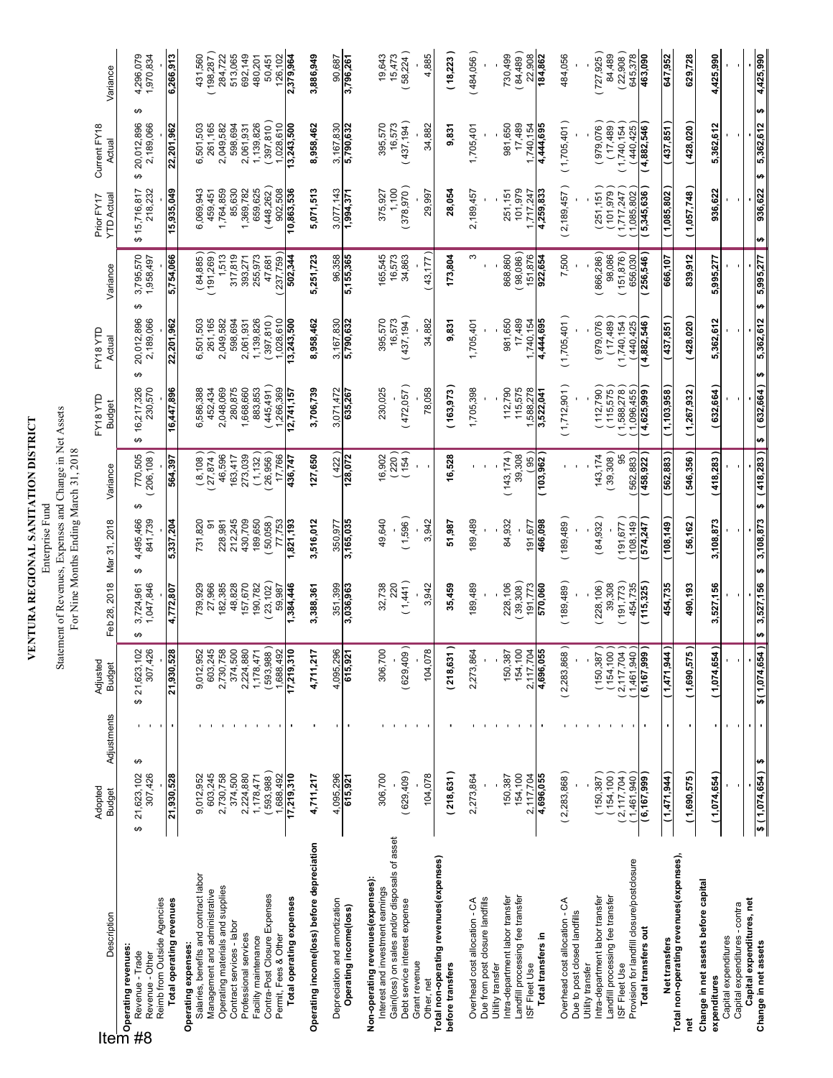# **VENTURA REGIONAL SANITATION DISTRICT**

**VENTURA REGIONAL SANITATION DISTRICT**<br>Enterprise Fund<br>Statement of Revenues, Expenses and Change in Net Assets<br>For Nine Months Ending March 31, 2018 Statement of Revenues, Expenses and Change in Net Assets Enterprise Fund

| Description<br>Desidenting revenues:<br>The Operating revenues:         | Adopted<br><b>Budget</b>    | Adjustments    | Adjusted<br><b>Budget</b>                                                  | Feb 28, 2018                 | Mar 31, 2018               | Variance                            | FY18YTD<br><b>Budget</b>   | FY18YTD<br>Actual            | Variance                    | YTD Actua<br>Prior FY17   | Current FY18<br>Actual            | Variance               |
|-------------------------------------------------------------------------|-----------------------------|----------------|----------------------------------------------------------------------------|------------------------------|----------------------------|-------------------------------------|----------------------------|------------------------------|-----------------------------|---------------------------|-----------------------------------|------------------------|
| Reimb from Outside Agencies<br>Revenue - Trade<br>Revenue - Other<br>#8 | 307,426<br>21,623,102<br>မာ | ↮              | 29.<br>21,623,10<br>307,42<br>မာ                                           | 1,047,846<br>3,724,961<br>ω, | 4,495,466<br>841,739<br>မာ | 206,108)<br>770,505                 | 16,217,326<br>230,570<br>↮ | 20,012,896<br>2,189,066<br>↮ | 3,795,570<br>1,958,497<br>↮ | 218,232<br>\$15,716,817   | ↮<br>20,012,896<br>2,189,066<br>↮ | 4,296,079<br>1,970,834 |
| Total operating revenues                                                | 21,930,528                  |                | 21,930,528                                                                 | 4,772,807                    | 5,337,204                  | 564,397                             | 16,447,896                 | 22,201,962                   | 5,754,066                   | 15,935,049                | 22,201,962                        | 6,266,913              |
| Salaries, benefits and contract labor<br>Operating expenses:            | 9,012,952                   |                | <b>Si 75</b><br>9,012,95                                                   | 739,929                      | 731,820                    | $\left(\frac{8,108}{27,874}\right)$ | 6,586,388                  | 6,501,503                    | (84,885)                    | 6,069,943                 | 6,501,503                         | 431,560                |
| Operating materials and supplies<br>Management and administrative       | 2,730,758<br>603,245        |                | 2,730,758<br>603,24                                                        | 82,385<br>27,966             | 228,981<br>5               | 46,596                              | 2,048,069<br>452,434       | 261,165<br>2,049,582         | (191, 269)<br>1,513         | 1,764,859<br>459,451      | 261,165<br>2,049,582              | (198, 287)<br>284,722  |
| Contract services - labor                                               | 374,500                     |                | 374,500                                                                    | 48,828                       | 212,245                    | 163,417                             | 280,875                    | 598,694                      | 317,819                     | 85,630                    | 598,694                           | 513,065                |
| Professional services                                                   | 2,224,880                   |                | 2,224,880                                                                  | 157,670                      | 430,709                    | 273,039                             | 1,668,660                  | 2,061,931                    | 393,271                     | 1,369,782                 | 2,061,931                         | 692,149                |
| Contra-Post Closure Expenses<br>Facility maintenance                    | 593,988<br>1,178,471        |                | 1,178,471                                                                  | (23, 102)<br>190,782         | 50,058)<br>189,650         | (1, 132)<br>26,956                  | 445,491<br>883,853         | (397, 810)<br>1,139,826      | 255,973<br>47,681           | (448, 262)<br>659,625     | (397, 810)<br>1,139,826           | 480,201<br>50,451      |
| Permit, Fees & Other                                                    | ,688,492                    |                | $\begin{array}{c} (593,988) \\ 1,688,492 \\ \hline 17,219,310 \end{array}$ | 59,987                       | 77,753                     | 17,766                              | 1,266,369                  | 1,028,610                    | 237,759                     | 902,508                   | 1,028,610                         | 126,102                |
| Total operating expenses                                                | 17,219,310                  |                |                                                                            | ,384,446                     | ,821,193                   | 436,747                             | 2,741,157                  | 3,243,500                    | 502,344                     | 10,863,536                | 13,243,500                        | 2,379,964              |
| Operating income(loss) before depreciation                              | 4,711,217                   |                | N<br>4,711,21                                                              | 3,388,361                    | 3,516,012                  | 127,650                             | 3,706,739                  | 8,958,462                    | 5,251,723                   | 5,071,513                 | 8,958,462                         | 3,886,949              |
| Depreciation and amortization                                           | 4,095,296                   |                | $\mathbf{Q}$<br>4,095,29                                                   | 351,399                      | 350,977                    | (422)                               | 3,071,472                  | 3,167,830                    | 96,358                      | 3,077,143                 | 3,167,830                         | 90,687                 |
| Operating income(loss)                                                  | 615,921                     |                | 615,921                                                                    | 3,036,963                    | 3,165,035                  | 128,072                             | 635,267                    | 5,790,632                    | 5,155,365                   | 1,894,371                 | 5,790,632                         | 3,796,261              |
| Non-operating revenues(expenses):<br>Interest and investment earnings   | 306,700                     |                | $\subseteq$<br>306,70                                                      | 32,738                       | 49,640                     | 16,902                              | 230,025                    | 395,570                      | 165,545                     | 375,927                   | 395,570                           | 19,643                 |
| Gain(loss) on sales and/or disposals of asset:                          |                             |                |                                                                            | 220                          |                            | (220)                               |                            | 16,573                       | 16,573                      | 1,100                     | 16,573                            | 15,473                 |
| Debt service interest expense                                           | (629, 409)                  |                | (629,409)                                                                  | (1,441)                      | (1,596)                    | (154)                               | (472,057)                  | (437, 194)                   | 34,863                      | (378,970)                 | (437, 194)                        | (58,224)               |
| Grant revenue<br>Other, net                                             | 104,078                     |                | ğΟ<br>104,07                                                               | 3,942                        | 3,942                      |                                     | 78,058                     | 34,882                       | 43,177                      | 29,997                    | 34,882                            | 4,885                  |
| Total non-operating revenues(expenses)<br>before transfers              | (218, 631)                  |                | 218,631)                                                                   | 35,459                       | 51,987                     | 16,528                              | (163,973                   | 9,831                        | 173,804                     | 28,054                    | 9,831                             | (18, 223)              |
| Overhead cost allocation - CA                                           | 2,273,864                   |                | 2,273,864                                                                  | 189,489                      | 189,489                    |                                     | 1,705,398                  | 1,705,401                    | ω                           | 2,189,457                 | 1,705,401                         | (484,056)              |
| Due from post closure landfills<br>Utility transfer                     |                             |                |                                                                            |                              |                            |                                     |                            |                              |                             |                           |                                   |                        |
| Intra-department labor transfer                                         | 150,387                     |                | 150,387                                                                    | 228,106                      | 84,932                     | (143, 174)                          | 112,790                    | 981,650                      | 868,860                     | 251,151                   | 981,650                           | 730,499                |
| Landfill processing fee transfer                                        | 154,100                     |                | 154,100<br>2.117,704                                                       | (39,308)<br>191.773          |                            | 39,308                              | 115,575<br>1.588.278       | 17,489<br>1.740,154          | (98,086)<br>151.876         | 101,979<br>1.717.247      | 17,489<br>1.740.154               | (84, 489)<br>22,908    |
| Total transfers in<br>ISF Fleet Use                                     | 2,117,704<br>4,696,055      |                | 10<br>4,696,05                                                             | 570,060                      | 466,098<br>191,677         | ์ 95)<br>(103, 962)                 | 3,522,041                  | 4,444,695                    | 922,654                     | 4,259,833                 | 4,444,695                         | 184,862                |
| Overhead cost allocation - CA                                           | (2,283,868)                 |                | (2,283,868)                                                                | (189, 489)                   | (189, 489)                 |                                     | (1,712,901)                | (1,705,401)                  | 7,500                       | (2, 189, 457)             | (1,705,401)                       | 484,056                |
| Due to post closed landfills<br>Utility transfer                        |                             |                |                                                                            |                              |                            |                                     |                            |                              |                             |                           |                                   |                        |
| Intra-department labor transfer                                         | 150,387                     |                | $(150,387)$<br>$(154,100)$                                                 | $228,106$ )                  | (84, 932)                  | 143,174                             | 112,790)                   | (979,076)                    | (866,286)                   | (251, 151)                | (979,076)                         | (727, 925)             |
| Landfill processing fee transfer<br>ISF Fleet Use                       | (154, 100<br>(2, 117, 704)  |                | $2,117,704$ )                                                              | (191,773)<br>39,308          | (191, 677)                 | (39,308)<br>95                      | 115,575<br>1,588,278       | (17, 489)<br>(1,740,154)     | (151, 876)<br>98,086        | (101, 979)<br>(1,717,247) | (17, 489)<br>(1,740,154)          | (22,908)<br>84,489     |
| Provision for landfill closure/postclosure                              | 1,461,940                   |                | $1,461,940$ )                                                              | 454,735                      | 108,149                    | 562,883)                            | 1,096,455                  | (440, 425)                   | 656,030                     | 1,085,802                 | (440, 425)                        | 645,378                |
| Total transfers out                                                     | (6, 167, 999)               |                | (6, 167, 999)                                                              | (115,325                     | 574,247                    | (458, 922)                          | 4,625,999                  | 4,882,546                    | 256,546                     | 5,345,636                 | 4,882,546                         | 463,090                |
| Net transfers                                                           | (1,471,944)                 | ×,             | (1,471,944)                                                                | 454,735                      | (108,149                   | (562,883                            | (1,103,958                 | (437,851                     | 666,107                     | (1,085,802)               | (437,851                          | 647,952                |
| Total non-operating revenues(expenses),<br>ë                            | (1,690,575)                 |                | $\frac{1}{2}$<br>(1,690,57                                                 | 490,193                      | [56,162]                   | (546,356                            | (1,267,932)                | (428, 020)                   | 839,912                     | (1,057,748)               | (428, 020)                        | 629,728                |
| Change in net assets before capital<br>expenditures                     | (1,074,654)                 |                | (1,074,654)                                                                | 527,156<br>∾.                | 3,108,873                  | (418,283)                           | (632,664                   | 5,362,612                    | 5,995,277                   | 936,622                   | 5,362,612                         | 4,425,990              |
| Capital expenditures - contra<br>Capital expenditures                   |                             |                |                                                                            |                              |                            |                                     |                            |                              |                             |                           |                                   |                        |
| Capital expenditures, net                                               |                             | $\blacksquare$ |                                                                            |                              |                            |                                     |                            |                              |                             |                           |                                   |                        |
| Change in net assets                                                    | \$(1,074,654)               | H              | \$(1,074,654)]                                                             | 3,527,156<br>$\bullet$       | 3,108,873<br>H)            | (418, 283)<br>th                    | ( 632,664 )<br>ø           | 5,362,612<br>₩               | 5,995,277<br>Ø              | 936,622<br>↮              | ₩<br>5,362,612<br>₩               | 4,425,990              |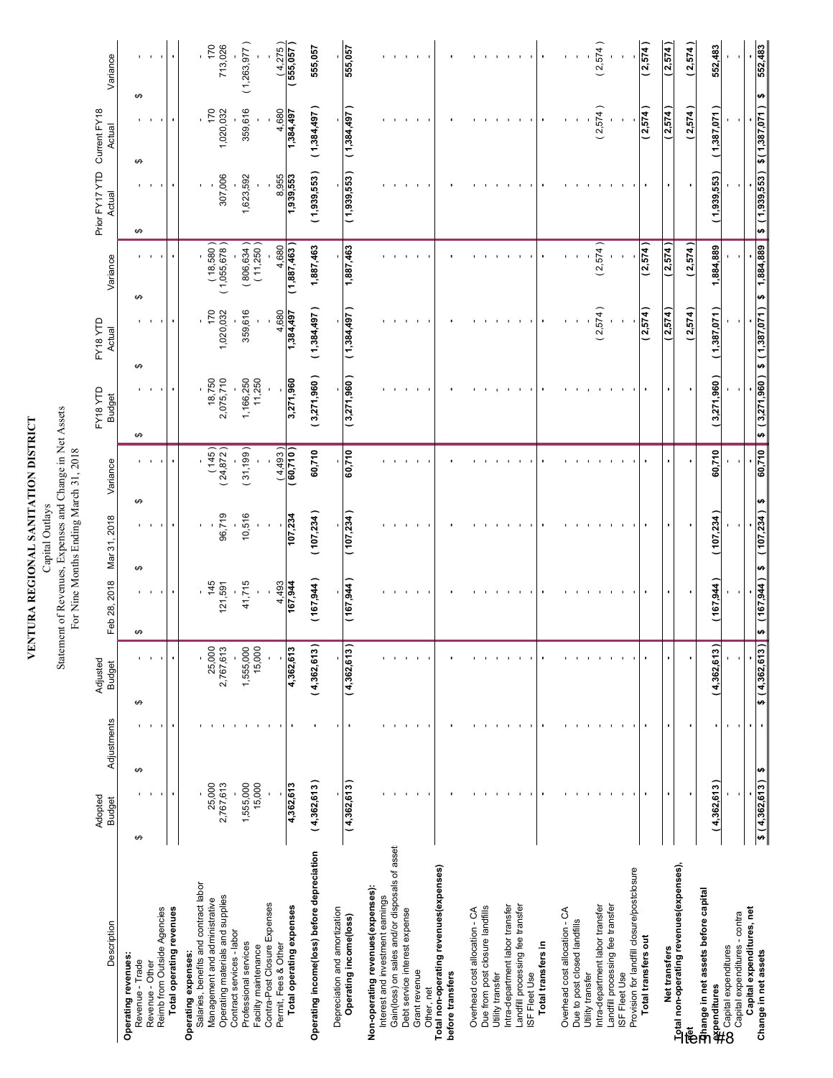| A REGIONAL SANITATION DISTRIC |  |
|-------------------------------|--|
| ENTIR 4                       |  |

#### Capital Utulays<br>Statement of Revenues, Expenses and Change in Net Assets<br>For Nine Months Ending March 31, 2018 Statement of Revenues, Expenses and Change in Net Assets Capital Outlays

|                                                                                   |                          |                |                                    |                           | For Nine Months Ending March 31, 2018 |                            |                                                      |                      |                             |                                                       |                      |                             |
|-----------------------------------------------------------------------------------|--------------------------|----------------|------------------------------------|---------------------------|---------------------------------------|----------------------------|------------------------------------------------------|----------------------|-----------------------------|-------------------------------------------------------|----------------------|-----------------------------|
| Description                                                                       | Adopted<br><b>Budget</b> | Adjustments    | Adjusted<br><b>Budget</b>          | Feb 28, 2018 Mar 31, 2018 |                                       | Variance                   | FY18 YTD<br><b>Budget</b>                            | FY18 YTD<br>Actual   | Variance                    | Prior FY17 YTD Current FY18<br>Actual Actual          |                      | Variance                    |
| Operating revenues:                                                               |                          |                |                                    |                           |                                       |                            |                                                      |                      |                             |                                                       |                      |                             |
| Revenue - Trade<br>Revenue - Other                                                | ↮                        | ↮              | ٠<br>$\overline{\phantom{a}}$<br>↮ | ↮                         | ↮                                     | ↮                          | ↮                                                    | ↮                    | ↮                           | ↮                                                     | ↮<br>↮               |                             |
| Total operating revenues<br>Reimb from Outside Agencies                           |                          |                | $\overline{\phantom{a}}$           |                           |                                       |                            |                                                      |                      |                             |                                                       |                      |                             |
| Operating expenses:                                                               |                          |                |                                    |                           |                                       |                            |                                                      |                      |                             |                                                       |                      |                             |
| Salaries, benefits and contract labor<br>Management and administrative            | 25,000                   |                | 25,000                             | 145                       |                                       |                            |                                                      | 170                  |                             |                                                       | 170                  | 170                         |
| Operating materials and supplies                                                  | 2,767,613                |                | 2,767,613                          | 121,591                   | 96,719                                | $(145)$<br>(24,872)        | 18,750<br>2,075,710                                  | 1,020,032            | $(18,580)$<br>$(1,055,678)$ | 307,006                                               | 1,020,032            | 713,026                     |
| Contract services - labor<br>Professional services                                | 1,555,000                |                | 1,555,000                          | 41,715                    | 10,516                                | (31, 199)                  | 1,166,250<br>11,250                                  | 359,616              | $(806, 634)$<br>$(11, 250)$ | 1,623,592                                             | 359,616              | (1,263,977)                 |
| Contra-Post Closure Expenses<br>Facility maintenance                              | 15,000                   |                | 15,000                             |                           |                                       |                            |                                                      |                      |                             |                                                       |                      |                             |
| Permit, Fees & Other                                                              |                          |                |                                    | $\frac{4,493}{167,944}$   | 107,234                               | $\frac{(4,493)}{(60,710)}$ | 3,271,960                                            | $4,880$<br>1,384,497 | $\frac{4,680}{(1,887,463)}$ | 8,955<br><b>1,939,553</b>                             | $4,680$<br>1,384,497 | $\frac{(4,275)}{(555,057)}$ |
| Total operating expenses                                                          | 4,362,613                |                | 4,362,613                          |                           |                                       |                            |                                                      |                      |                             |                                                       |                      |                             |
| Operating income(loss) before depreciation                                        | (4,362,613)              |                | (4,362,613)                        | (167, 944)                | (107, 234)                            | 60,710                     | (3,271,960)                                          | (1,384,497)          | 1,887,463                   | (1,939,553)                                           | (1,384,497)          | 555,057                     |
| Depreciation and amortization                                                     |                          | ٠              |                                    |                           |                                       |                            |                                                      |                      |                             |                                                       |                      |                             |
| Operating income(loss)                                                            | (4,362,613)              | $\blacksquare$ | (4,362,613)                        | (167, 944)                | (107, 234)                            | 60,710                     | (3,271,960)                                          | (1, 384, 497)        | 1,887,463                   | (1,939,553)                                           | (1,384,497)          | 555,057                     |
| Non-operating revenues (expenses):                                                |                          |                |                                    |                           |                                       |                            |                                                      |                      |                             |                                                       |                      |                             |
| Gain(loss) on sales and/or disposals of asset<br>Interest and investment earnings |                          |                |                                    |                           |                                       |                            |                                                      |                      |                             |                                                       |                      |                             |
| Debt service interest expense                                                     |                          |                |                                    |                           |                                       |                            |                                                      |                      |                             |                                                       |                      |                             |
| Grant revenue                                                                     |                          |                |                                    |                           |                                       |                            |                                                      |                      |                             |                                                       |                      |                             |
| Total non-operating revenues (expenses)<br>Other, net                             |                          |                |                                    |                           |                                       |                            |                                                      |                      |                             |                                                       |                      |                             |
| before transfers                                                                  |                          |                |                                    |                           |                                       |                            |                                                      |                      |                             |                                                       |                      |                             |
| Overhead cost allocation - CA                                                     |                          |                |                                    |                           |                                       |                            |                                                      |                      |                             |                                                       |                      |                             |
| Due from post closure landfills<br>Utility transfer                               |                          |                |                                    |                           |                                       |                            |                                                      |                      |                             |                                                       |                      |                             |
| Intra-department labor transfer                                                   |                          |                |                                    |                           |                                       |                            |                                                      |                      |                             |                                                       |                      |                             |
| Landfill processing fee transfer                                                  |                          |                |                                    |                           |                                       |                            |                                                      |                      |                             |                                                       |                      |                             |
| ISF Fleet Use                                                                     |                          |                |                                    |                           |                                       |                            |                                                      |                      |                             |                                                       |                      |                             |
| Total transfers in                                                                |                          |                |                                    |                           |                                       |                            |                                                      |                      |                             |                                                       |                      |                             |
| Overhead cost allocation - CA                                                     |                          |                |                                    |                           |                                       |                            |                                                      |                      |                             |                                                       |                      |                             |
| Due to post closed landfills<br>Utility transfer                                  |                          |                |                                    |                           |                                       |                            |                                                      |                      |                             |                                                       |                      |                             |
| Intra-department labor transfer                                                   |                          |                |                                    |                           |                                       |                            |                                                      | (2,574)              | (2,574)                     |                                                       | (2,574)              | (2,574)                     |
| Landfill processing fee transfer<br>ISF Fleet Use                                 |                          |                |                                    |                           |                                       |                            |                                                      |                      |                             |                                                       |                      |                             |
| Provision for landfill closure/postclosure                                        |                          |                |                                    |                           |                                       |                            |                                                      |                      |                             |                                                       |                      |                             |
| Total transfers out                                                               |                          |                |                                    |                           |                                       |                            |                                                      | (2,574)              | (2,574)                     |                                                       | (2,574)              | (2,574)                     |
| Net transfers                                                                     |                          |                |                                    |                           |                                       |                            |                                                      | (2,574)              | (2,574)                     |                                                       | (2,574)              | (2,574)                     |
| Total non-operating revenues(expenses),                                           |                          |                |                                    |                           |                                       |                            |                                                      | (2,574)              | (2,574)                     |                                                       | (2,574)              | (2,574)                     |
| Phange in net assets before capital                                               |                          |                |                                    |                           |                                       |                            |                                                      |                      |                             |                                                       |                      |                             |
| —<br><mark>—</mark> ¥penditures<br>CO Capital expenditures                        | (4,362,613)              |                | (4,362,613)                        | (167, 944)                | (107, 234)                            | 60,710                     | (3,271,960)                                          | (1,387,071)          | 1,884,889                   | (1,939,553)                                           | (1,387,071)          | 552,483                     |
| Capital expenditures - contra                                                     |                          |                |                                    |                           |                                       |                            |                                                      |                      |                             |                                                       |                      |                             |
| Capital expenditures, net<br>Change in net assets                                 | $$(4,362,613)$ \$        |                | \$(4,362,613)                      | $$$ (167,944) $$$         | $(107,234)$ \$                        |                            | $\overline{60,710}$ \$ (3,271,960) \$ (1,387,071) \$ |                      |                             | $\frac{1}{1,884,889}$ \$ (1,939,553) \$(1,387,071) \$ |                      | 552,483                     |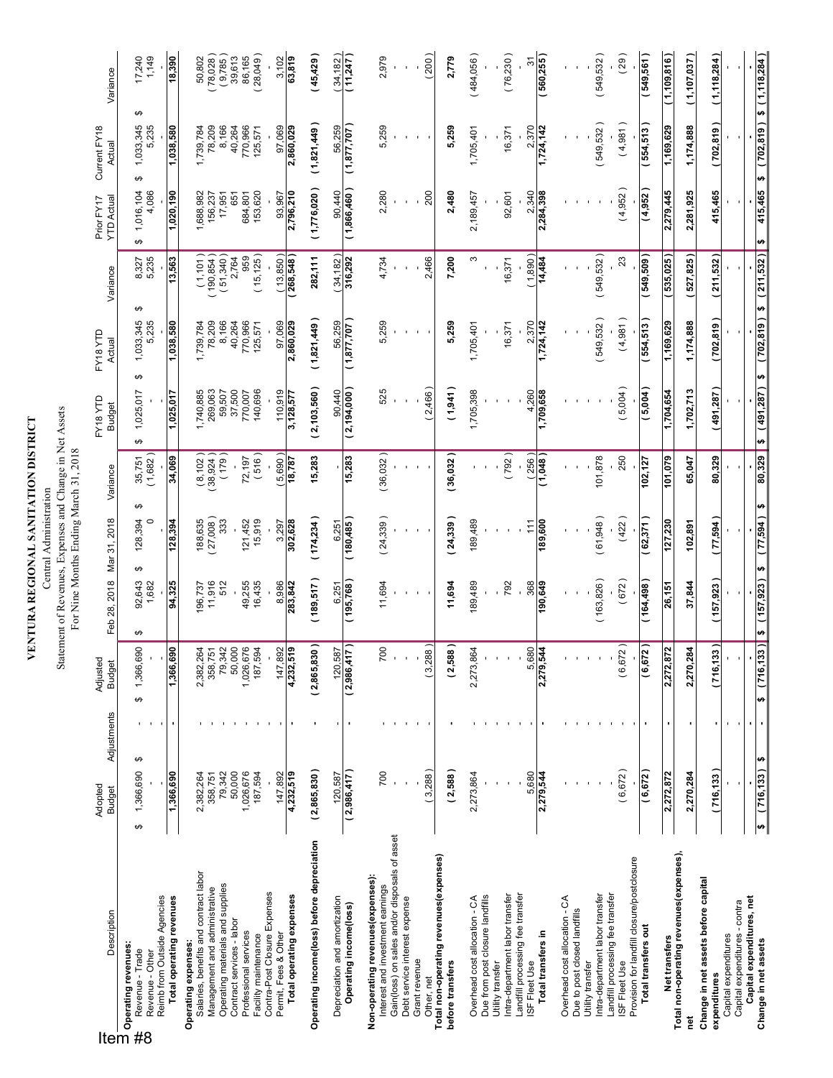VENTURA REGIONAL SANITATION DISTRICT **VENTURA REGIONAL SANITATION DISTRICT** Central Administration Central Administration

Statement of Revenues, Expenses and Change in Net Assets<br>For Nine Months Ending March 31, 2018 Statement of Revenues, Expenses and Change in Net Assets

|                                                                                                                                                                                                                                                                                             |                          |             |                                |                                 | For Nine Months Ending March 31, 2018 |                                   |                                |                              |                                                                 |                          |                              |                                 |
|---------------------------------------------------------------------------------------------------------------------------------------------------------------------------------------------------------------------------------------------------------------------------------------------|--------------------------|-------------|--------------------------------|---------------------------------|---------------------------------------|-----------------------------------|--------------------------------|------------------------------|-----------------------------------------------------------------|--------------------------|------------------------------|---------------------------------|
| Description                                                                                                                                                                                                                                                                                 | Adopted<br><b>Budget</b> | Adjustments | Adjusted<br><b>Budget</b>      | Feb 28, 2018                    | Mar 31, 2018                          | Variance                          | FY18YTD<br><b>Budget</b>       | FY18YTD<br>Actual            | Variance                                                        | Prior FY17<br>YTD Actual | Current FY18<br>Actual       | Variance                        |
| Descl<br>Descl<br><b>The Properating revenues:</b><br>The Properation of Properations of Description of Description of Description of the Description of Description<br>The Properation of Properations of Description of Description of Descri<br>Revenue - Trade<br>Revenue - Other<br>#8 | 1,366,690<br>↮           | ↮           | 1,366,690<br>↮                 | 92,643<br>1,682<br>↮            | $\circ$<br>128,394<br>↮               | $35,751$<br>$(1,682)$<br>↮        | 1,025,017<br>↮                 | 1,033,345<br>5,235<br>↮      | 8,327<br>5,235<br>↮                                             | 4,086<br>1,016,104<br>↮  | ↮<br>1,033,345<br>5,235<br>↮ | $17,240$<br>1,149               |
| Reimb from Outside Agencies<br>Total operating revenues                                                                                                                                                                                                                                     | 1,366,690                |             | 1,366,690                      | 94,325                          | 128,394                               | 34,069                            | 1,025,017                      | 1,038,580                    | 13,563                                                          | 1,020,190                | 1,038,580                    | 18,390                          |
| Salaries, benefits and contract labor<br>Operating expenses:                                                                                                                                                                                                                                | 2,382,264                |             |                                | 196,737                         |                                       |                                   |                                |                              |                                                                 | 1,688,982                |                              |                                 |
| Operating materials and supplies<br>Management and administrative                                                                                                                                                                                                                           | 79,342<br>358,751        |             | 2,382,264<br>358,751<br>79,342 | 11,916<br>512                   | $188,635$<br>$(27,008)$<br>333        | $\frac{(8,102)}{38,924}$<br>(179) | 1,740,885<br>269,063<br>59,507 | 1,739,784<br>78,209<br>8,166 | $\begin{array}{c} (1,101) \\ (190,854) \\ (51,340) \end{array}$ | 156,237<br>17,951        | 1,739,784<br>78,209<br>8,166 | 50,802<br>(78,028)<br>(9,785)   |
| Contract services - labor                                                                                                                                                                                                                                                                   | 50,000                   |             | 50,000                         |                                 |                                       |                                   | 37,500                         | 40,264                       | 2,764                                                           | 651                      | 40,264                       | 86,165<br>39,613                |
| Professional services<br>Facility maintenance                                                                                                                                                                                                                                               | 1,026,676<br>187,594     |             | 1,026,676<br>187,594           | 49,255<br>16,435                | 15,919<br>121,452                     | (516)<br>72,197                   | 140,696<br>770,007             | 770,966<br>125,571           | (15, 125)<br>959                                                | 684,801<br>153,620       | 770,966<br>125,571           | (28,049)                        |
| Contra-Post Closure Expenses<br>Permit, Fees & Other                                                                                                                                                                                                                                        | 147,892                  |             | 4,232,519                      | 8,986                           | 3,297                                 | 5,690)                            | 110,919                        | 97,069<br>2,860,029          | $\frac{(13,850)}{(268,548)}$                                    | 2,796,210<br>93,967      | 97,069<br>2,860,029          | $\frac{3,102}{63,819}$          |
| Total operating expenses                                                                                                                                                                                                                                                                    | 4,232,519                |             |                                | 283,842                         | 302,628                               | 18,787                            | 3,128,577                      |                              |                                                                 |                          |                              |                                 |
| Operating income(loss) before depreciation                                                                                                                                                                                                                                                  | (2,865,830)              |             | (2,865,830)                    | (189, 517)                      | (174, 234)                            | 15,283                            | (2, 103, 560)                  | (1,821,449)                  | 282,111                                                         | (1,776,020)              | (1,821,449)                  | (45, 429)                       |
| Depreciation and amortization<br>Operating income(loss)                                                                                                                                                                                                                                     | (2,986,417)<br>120,587   |             | (2,986,417)<br>120,587         | (195,768)<br>6,251              | (180,485)<br>6,251                    | 15,283                            | (2, 194, 000)<br>90,440        | (1,877,707)<br>56,259        | 316,292<br>(34, 182)                                            | ( 1,866,460 )<br>90,440  | (1,877,07)<br>56,259         | (34, 182)<br>(11,247)           |
| Non-operating revenues(expenses):                                                                                                                                                                                                                                                           |                          |             |                                |                                 |                                       |                                   |                                |                              |                                                                 |                          |                              |                                 |
| Gain(loss) on sales and/or disposals of asset<br>Interest and investment earnings                                                                                                                                                                                                           | 700                      |             | 700                            | 11,694                          | (24, 339)                             | (36,032)                          | 525                            | 5,259                        | 4,734                                                           | 2,280                    | 5,259                        | 2,979                           |
| Debt service interest expense<br>Grant revenue                                                                                                                                                                                                                                              |                          |             |                                |                                 |                                       |                                   |                                |                              |                                                                 |                          |                              |                                 |
| Other, net                                                                                                                                                                                                                                                                                  | 3,288                    |             | 3,288)                         |                                 |                                       |                                   | 2,466)                         |                              | 2,466                                                           | 200                      |                              | 200)                            |
| Total non-operating revenues (expenses)<br>before transfers                                                                                                                                                                                                                                 | (2,588)                  |             | (2,588)                        | 11,694                          | (24, 339)                             | (36,032)                          | (1,941)                        | 5,259                        | 7,200                                                           | 2,480                    | 5,259                        | 2,779                           |
| Overhead cost allocation - CA                                                                                                                                                                                                                                                               | 2,273,864                |             | 2,273,864                      | 189,489                         | 189,489                               |                                   | 1,705,398                      | 1,705,401                    | ω                                                               | 2,189,457                | 1,705,401                    | (484,056)                       |
| Due from post closure landfills<br>Utility transfer                                                                                                                                                                                                                                         |                          |             |                                |                                 |                                       |                                   |                                |                              |                                                                 |                          |                              |                                 |
| Landfill processing fee transfer<br>Intra-department labor transfer                                                                                                                                                                                                                         |                          |             |                                | 792                             |                                       | (792)                             |                                | 16,371                       | 16,371                                                          | 92,601                   | 16,371                       | (76, 230)                       |
| Total transfers in<br>ISF Fleet Use                                                                                                                                                                                                                                                         | 5,680<br>2,279,544       |             | 5,680<br>2,279,544             | 368<br>190,649                  | 189,600<br>111                        | (256)<br>(1,048)                  | 4,260<br>1,709,658             | 2,370<br>1,724,142           | (1,890)<br>14,484                                               | 2,340<br>2,284,398       | 2,370<br>1,724,142           | (560, 255)<br>51                |
| Overhead cost allocation - CA                                                                                                                                                                                                                                                               |                          |             |                                |                                 |                                       |                                   |                                |                              |                                                                 |                          |                              |                                 |
| Due to post closed landfills                                                                                                                                                                                                                                                                |                          |             |                                |                                 |                                       |                                   |                                |                              |                                                                 |                          |                              |                                 |
| Intra-department labor transfer<br>Utility transfer                                                                                                                                                                                                                                         |                          |             |                                | (163, 826)                      | (61,948)                              | 101,878                           |                                | (549,532)                    | (549,532)                                                       |                          | (549, 532)                   | (549,532)                       |
| Landfill processing fee transfer<br>ISF Fleet Use                                                                                                                                                                                                                                           | (6,672)                  |             | (6, 672)                       | (672)                           | (422)                                 | 250                               | 5,004)                         | (4,981)                      | 23                                                              | (4,952)                  | (4,981)                      | (29)                            |
| Provision for landfill closure/postclosure<br>Total transfers out                                                                                                                                                                                                                           | (6, 672)                 |             | ا( 2'<br>(6, 67)               | ( 164,48)                       | (62, 371)                             | 102,127                           | (5,004)                        | (554, 513)                   | ( 505,675 )                                                     | (4,952)                  | (554, 513)                   | (549, 561)                      |
| Net transfers                                                                                                                                                                                                                                                                               | 2,272,872                |             | 2,272,872                      | 26,151                          | 127,230                               | 101,079                           | 1,704,654                      | 1,169,629                    | (535,025)                                                       | 2,279,445                | 1,169,629                    | ( 1,109,816 )                   |
| Total non-operating revenues(expenses),<br>ē                                                                                                                                                                                                                                                | 2,270,284                | ٠           | 2,270,284                      | 37,844                          | 102,891                               | 65,047                            | 1,702,713                      | 1,174,888                    | (527, 825)                                                      | 2,281,925                | 1,174,888                    | (1,107,037)                     |
| Change in net assets before capital<br>expenditures                                                                                                                                                                                                                                         | (716,133)                |             | $\overline{3}$<br>(716, 13)    | (157, 923)                      | (77,594)                              | 80,329                            | (491,287)                      | (702, 819)                   | (211,532)                                                       | 415,465                  | (702, 819)                   | (1, 118, 284)                   |
| Capital expenditures - contra<br>Capital expenditures                                                                                                                                                                                                                                       |                          |             |                                |                                 |                                       |                                   |                                |                              |                                                                 |                          |                              |                                 |
| Capital expenditures, net<br>Change in net assets                                                                                                                                                                                                                                           | $(716, 133)$ \$<br>s,    |             | u)                             | $(716, 133)$ \$ $(157, 923)$ \$ | (77,594)                              | 80,329<br>₩                       | \$(491,287)                    | H                            | $(702,819)$ \$ $(211,532)$ \$                                   | 415,465                  | ₩                            | $(702, 819)$ \$ $(1, 118, 284)$ |

 $5(716, 133)$  \$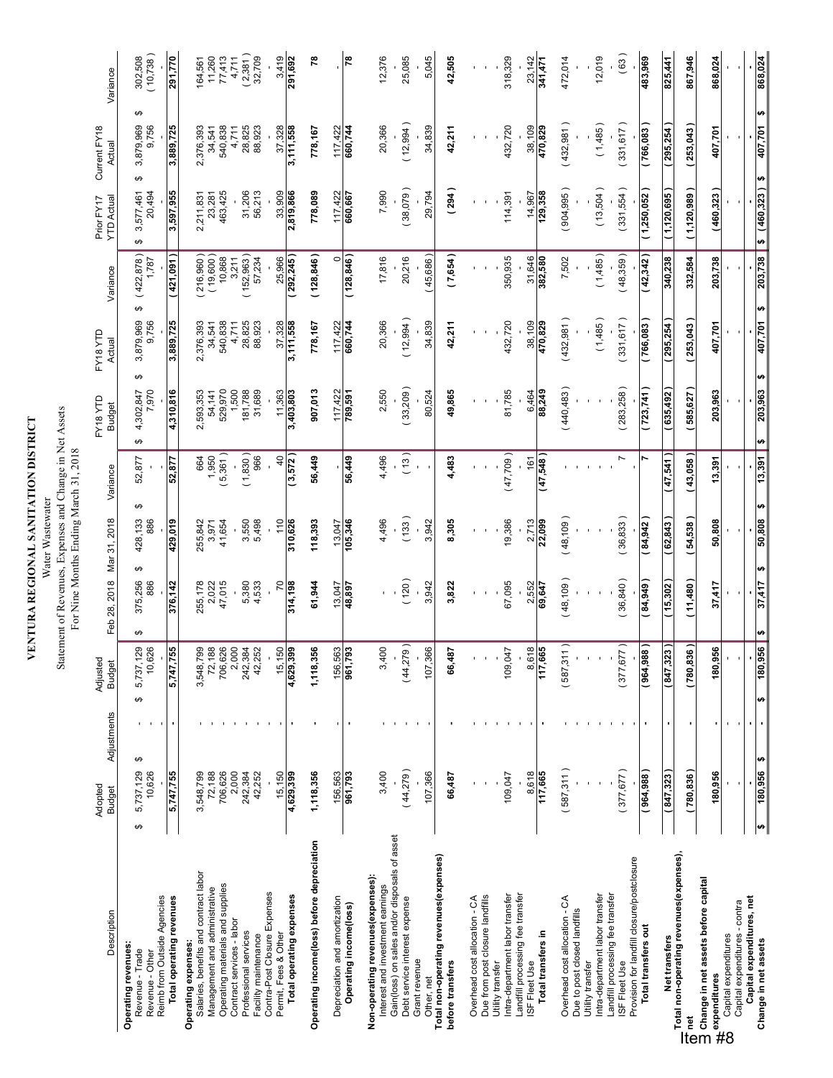**VENTURA REGIONAL SANITATION DISTRICT**<br>Water Wastewater<br>Statement of Revenues, Expenses and Change in Net Assets<br>For Nine Months Ending March 31, 2018 **VENTURA REGIONAL SANITATION DISTRICT** Water Wastewater

# Statement of Revenues, Expenses and Change in Net Assets

| Description                                                                                                                               | Adopted<br><b>Budget</b>      | Adjustments | Adjustec<br><b>Budget</b>      | Feb 28, 2018                         | Mar 31, 2018        | Variance                 | FY18 YTD<br><b>Budget</b>    | FY18YTD<br>Actual   | Variance                  | <b>YTD Actual</b><br>Prior FY17 | Current FY18<br>Actual       | Variance                    |
|-------------------------------------------------------------------------------------------------------------------------------------------|-------------------------------|-------------|--------------------------------|--------------------------------------|---------------------|--------------------------|------------------------------|---------------------|---------------------------|---------------------------------|------------------------------|-----------------------------|
| Reimb from Outside Agencies<br>Operating revenues:<br>Revenue - Trade<br>Revenue - Other                                                  | ↮<br>5,737,129<br>10,626<br>↮ |             | 5,737,129<br>10,626<br>↮       | ↮<br>375,256<br>886<br>↮             | ↮<br>428,133<br>886 | 52,877                   | ↮<br>7,970<br>4,302,847<br>↮ | 3,879,969<br>9,756  | (422, 878)<br>1,787<br>↮  | 20,494<br>3,577,461<br>↮        | ↮<br>3,879,969<br>9,756<br>↮ | 302,508<br>(10,738)         |
| Total operating revenues                                                                                                                  | 5,747,755                     |             | 755<br>5,747,7                 | 376,142                              | 429,019             | 52,877                   | 4,310,816                    | 3,889,725           | 421,091                   | 3,597,955                       | 3,889,725                    | 291,770                     |
| Salaries, benefits and contract labor<br>Operating expenses:                                                                              | 3,548,799                     |             |                                | 255,178                              | 255,842             | 1,950<br>1,950           | 2,593,353                    | 2,376,393           | $(216,960)$<br>$(19,600)$ | 2,211,831<br>23,281             | 2,376,393                    |                             |
| Operating materials and supplies<br>Management and administrative                                                                         | 706,626<br>72,188             |             | 3,548,799<br>72,188<br>706,626 | 47,015<br>2,022                      | 41,654<br>3,971     | $5,361$ )                | 529,970<br>54,141            | 540,838<br>34,541   | 10,868                    | 463,425                         | 540,838<br>34,541            | 164,561<br>11,260<br>77,413 |
| Contract services - labor                                                                                                                 | 2,000                         |             | 2,000                          |                                      |                     |                          | 1,500                        | 4,711               | 3,211                     |                                 | 4,711                        | 4,711                       |
| Professional services<br>Facility maintenance                                                                                             | 242,384<br>42,252             |             | 242,384<br>42,252              | 5,380<br>4,533                       | 3,550<br>5,498      | (1,830)<br>966           | 181,788<br>31,689            | 28,825<br>88,923    | 152,963<br>57,234         | 31,206<br>56,213                | 28,825<br>88,923             | $(2,381)$<br>$32,709$       |
| Contra-Post Closure Expenses                                                                                                              |                               |             |                                |                                      |                     |                          |                              |                     |                           |                                 |                              |                             |
| Total operating expenses<br>Permit, Fees & Other                                                                                          | 15,150<br>4,629,399           |             | 150<br>4,629,399<br>15,        | 20<br>314,198                        | 110<br>310,626      | $\frac{4}{3}$<br>(3,572) | 11,363<br>3,403,803          | 37,328<br>3,111,558 | 25,966<br>292,245         | 33,909<br>2,819,866             | 37,328<br>3,111,558          | 3,419<br>291,692            |
| Operating income(loss) before depreciation                                                                                                | 1,118,356                     |             | 1,118,356                      | 61,944                               | 118,393             | 56,449                   | 907,013                      | 778,167             | (128, 846)                | 778,089                         | 778,167                      | 78                          |
| Depreciation and amortization                                                                                                             | 156,563                       |             | 156,563                        | 13,047                               | 13,047              |                          | 117,422                      | 117,422             | $\circ$                   | 117,422                         | 117,422                      |                             |
| Operating income(loss)                                                                                                                    | 961,793                       |             | 793<br>961,7                   | 48,897                               | 105,346             | 56,449                   | 789,591                      | 660,744             | (128, 846)                | 660,667                         | 660,744                      | $\approx$                   |
| Non-operating revenues (expenses):<br>Interest and investment earnings                                                                    | 3,400                         |             | 3,400                          |                                      | 4,496               | 4,496                    | 2,550                        | 20,366              | 17,816                    | 7,990                           | 20,366                       | 12,376                      |
| Gain(loss) on sales and/or disposals of asset<br>Debt service interest expense                                                            | (44, 279)                     |             | (44,279)                       | 120)                                 | (133)               | (13)                     | (33,209)                     | (12,994)            | 20,216                    | (38,079)                        | (12, 994)                    | 25,085                      |
| Grant revenue<br>Other, net                                                                                                               | 107,366                       |             | 107,366                        | 3,942                                | 3,942               | $\mathbf{I}$             | 80,524                       | 34,839              | (45,686)                  | 29,794                          | 34,839                       | 5,045                       |
| Total non-operating revenues(expenses)<br>before transfers                                                                                | 66,487                        |             | 66,487                         | 3,822                                | 8,305               | 4,483                    | 49,865                       | 42,211              | (7, 654)                  | (294)                           | 42,211                       | 42,505                      |
|                                                                                                                                           |                               |             |                                |                                      |                     |                          |                              |                     |                           |                                 |                              |                             |
| Due from post closure landfills<br>Overhead cost allocation - CA                                                                          |                               |             |                                |                                      |                     |                          |                              |                     |                           |                                 |                              |                             |
| Utility transfer                                                                                                                          |                               |             |                                |                                      |                     |                          |                              |                     |                           |                                 |                              |                             |
| Intra-department labor transfer                                                                                                           | 109,047                       |             | 109,047                        | 67,095                               | 19,386              | (47,709)                 | 81,785                       | 432,720             | 350,935                   | 114,391                         | 432,720                      | 318,329                     |
| Landfill processing fee transfer<br>ISF Fleet Use                                                                                         | 8,618                         |             | 8,618                          | 2,552                                | 2,713               | 161                      | 6,464                        | 38,109              | 31,646                    | 14,967                          | 38,109                       | 23,142                      |
| Total transfers in                                                                                                                        | 117,665                       |             | 117,665                        | 69,647                               | 22,099              | (47,548)                 | 88,249                       | 470,829             | 382,580                   | 129,358                         | 470,829                      | 341,471                     |
| Overhead cost allocation - CA                                                                                                             | (587,311)                     |             | (587, 311)                     | (48, 109)                            | (48, 109)           |                          | (440, 483)                   | (432,981)           | 7,502                     | (904,995)                       | (432,981)                    | 472,014                     |
| Due to post closed landfills<br>Utility transfer                                                                                          |                               |             |                                |                                      |                     |                          |                              |                     |                           |                                 |                              |                             |
| Intra-department labor transfer                                                                                                           |                               |             |                                |                                      |                     |                          |                              | (1,485)             | (1,485)                   | (13,504)                        | (1,485)                      | 12,019                      |
| Landfill processing fee transfer<br>ISF Fleet Use                                                                                         | (377, 677)                    |             | (377, 677)                     | (36, 840)                            | (36, 833)           | N                        | (283, 258)                   | (331, 617)          | (48,359)                  | (331,554)                       | (331, 617)                   | (63)                        |
| Provision for landfill closure/postclosure                                                                                                |                               |             |                                |                                      |                     |                          |                              |                     |                           |                                 |                              |                             |
| Total transfers out                                                                                                                       | 964,988                       |             | (964, 988)                     | 84,949                               | 84,942              |                          | (723, 741)                   | [766,083]           | (42, 342)                 | (1,250,052)                     | [766,083]                    | 483,969                     |
| Net transfers                                                                                                                             | (847, 323)                    |             | (847, 323)                     | (15,302)                             | 62,843              | 47,541                   | 635,492                      | 295,254             | 340,238                   | (1, 120, 695)                   | 295,254                      | 825,441                     |
| Total non-operating revenues(expenses),<br>— rua indir-podaning i o vendoslovper<br>To Change in net assets before capital<br>Discreption | (780, 836)                    |             | (780, 836)                     | (11,480)                             | (54,538)            | (43,058)                 | (585, 627)                   | (253,043)           | 332,584                   | (1,120,989)                     | (253,043)                    | 867,946                     |
| en met<br>expenditures<br>Cantains<br>Cantains                                                                                            | 180,956                       |             | 956<br>180                     | 37,417                               | 50,808              | 13,391                   | 203,963                      | 407,701             | 203,738                   | (460, 323)                      | 407,701                      | 868,024                     |
| Capital expenditures - contra<br>Capital expenditures                                                                                     |                               |             |                                |                                      |                     |                          |                              |                     |                           |                                 |                              |                             |
| Capital expenditures, net                                                                                                                 |                               |             |                                |                                      |                     |                          |                              |                     |                           |                                 |                              |                             |
| Change in net assets                                                                                                                      | ₩<br>180,956<br>₩             |             | 956<br>180,<br>₩               | ₩<br>37,417<br>$\boldsymbol{\theta}$ | ₩<br>50,808         | 13,391                   | ₩<br>203,963<br>₩            | 407,701             | 203,738<br>₩              | (460, 323)<br>÷                 | ₩<br>407,701<br>₩            | 868,024                     |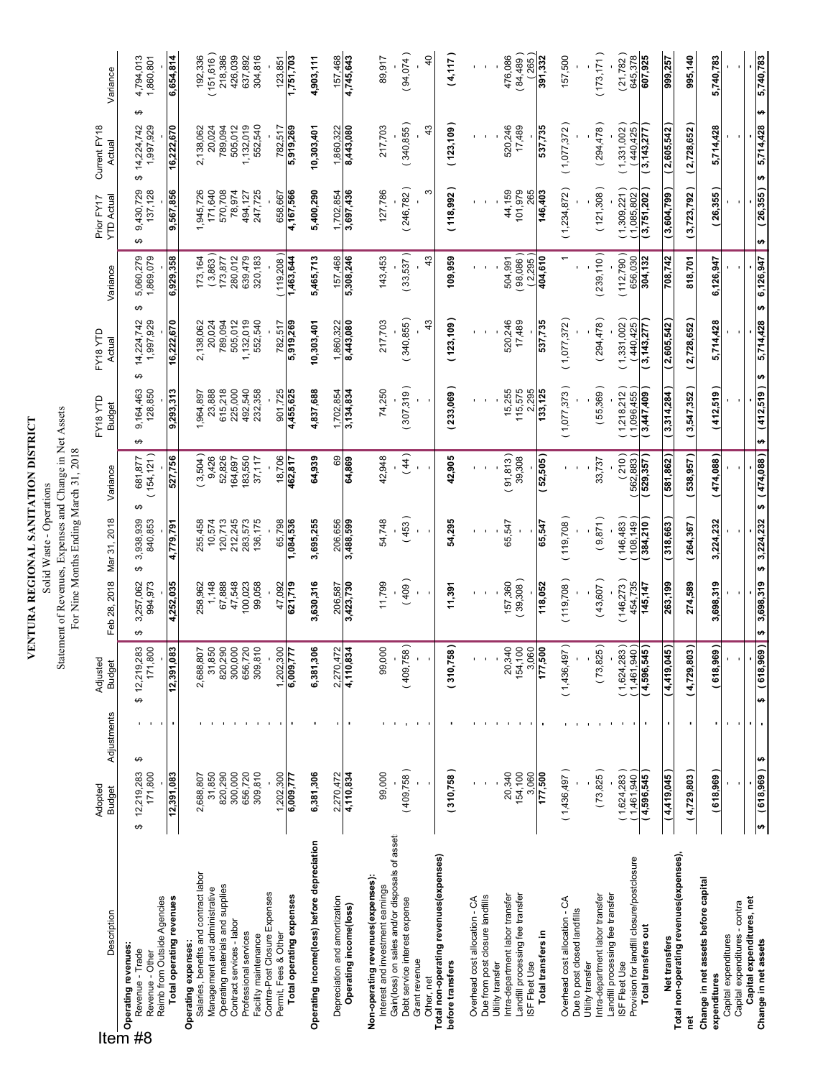# **VENTURA REGIONAL SANITATION DISTRICT**

**VENTURA REGIONAL SANITATION DISTRICT**<br>Solid Waste - Operations<br>Statement of Revenues, Expenses and Change in Net Assets<br>For Nine Months Ending March 31, 2018 Statement of Revenues, Expenses and Change in Net Assets Solid Waste - Operations

| Description                                                                                                                                                           | Adopted<br><b>Budget</b>        | Adjustments | Adjusted<br><b>Budget</b>      | Feb 28, 2018              | Mar 31, 2018              | Variance                  | EY18YTD<br><b>Budget</b>            | EY18YTD<br>Actual            | Variance                    | <b>YTD Actual</b><br>Prior FY17 | Current FY18<br>Actual            | Variance               |
|-----------------------------------------------------------------------------------------------------------------------------------------------------------------------|---------------------------------|-------------|--------------------------------|---------------------------|---------------------------|---------------------------|-------------------------------------|------------------------------|-----------------------------|---------------------------------|-----------------------------------|------------------------|
| Reimb from Outside Agencies<br>Desc<br><b>Charating revenues:</b><br><b>CHARE Revenue - Trade<br/> Revenue - Cither</b><br><b>Revenue - Cither</b><br>Revenue - Other | ↮<br>171,800<br>12,219,283<br>↮ |             | ⊙ ღ<br>\$12,219,28<br>171,80   | 3,257,062<br>994,973<br>↮ | 840,853<br>3,938,939<br>↮ | 154, 121)<br>681,877<br>ക | 9,164,463<br>128,850<br>↮           | 14,224,742<br>1,997,929<br>↮ | 5,060,279<br>1,869,079<br>↮ | 9,430,729<br>137,128<br>↮       | ↮<br>14,224,742<br>1,997,929<br>↮ | 4,794,013<br>1,860,801 |
| Total operating revenues                                                                                                                                              | 12,391,083                      |             | Ö.<br>12,391,08                | 4,252,035                 | 4,779,791                 | 527,756                   | 9,293,313                           | 16,222,670                   | 6,929,358                   | 9,567,856                       | 16,222,670                        | 6,654,814              |
| Salaries, benefits and contract labor<br>Operating expenses:                                                                                                          | 2,688,807                       |             | 2,688,807<br>31,850            | 1,148<br>258,962          | 10,574<br>255,458         | (3,504)<br>9,426          | 23,888<br>1,964,897                 | 2,138,062<br>20,024          | (3,863)                     | 1,945,726<br>171,640            | 20,024<br>2,138,062               | (151, 616)<br>192,336  |
| Operating materials and supplies<br>Management and administrative                                                                                                     | 820,290<br>31,850               |             | 820,290                        | 67,888                    | 120,713                   | 52,826                    | 615,218                             | 789,094                      | 173,877                     | 570,708                         | 789,094                           | 218,386                |
| Contract services - labor                                                                                                                                             | 300,000                         |             | 300,000                        | 47,548                    | 212,245                   | 164,697                   | 225,000                             | 505,012                      | 280,012                     | 78,974                          | 505,012                           | 426,039                |
| Professional services<br>Facility maintenance                                                                                                                         | 656,720<br>309,810              |             | 656,720<br>309,810<br>309,81   | 00,023<br>99,058          | 283,573<br>136,175        | 183,550<br>37,117         | 492,540<br>232,358                  | 1,132,019<br>552,540         | 639,479<br>320,183          | 247,725<br>494,127              | 1,132,019<br>552,540              | 304,816<br>637,892     |
| Contra-Post Closure Expenses<br>Permit, Fees & Other                                                                                                                  | 1,202,300                       |             | $\supseteq$<br>1,202,30        | 47,092                    | 65,798                    | 18,706                    | 901,725                             | 782,517                      | 119,208)                    | 658,667                         | 782,517                           | 123,851                |
| Total operating expenses                                                                                                                                              | 6,009,777                       |             | H<br>6,009,77                  | 621,719                   | 1,084,536                 | 462,817                   | 4,455,625                           | 5,919,269                    | 1,463,644                   | 4,167,566                       | 5,919,269                         | 1,751,703              |
| Operating income(loss) before depreciation                                                                                                                            | 6,381,306                       |             | ဖ<br>6,381,30                  | 3,630,316                 | 3,695,255                 | 64,939                    | 4,837,688                           | 10,303,401                   | 5,465,713                   | 5,400,290                       | 10,303,401                        | 4,903,111              |
| Depreciation and amortization                                                                                                                                         | 2,270,472                       |             |                                | 206,587                   | 206,656                   | ශී                        | 1,702,854                           | 1,860,322                    | 157,468                     | 1,702,854                       | 1,860,322                         | 157,468                |
| Operating income(loss)                                                                                                                                                | 4,110,834                       |             | $\frac{2,270,472}{4,110,834}$  | 3,423,730                 | 3,488,599                 | 64,869                    | 3,134,834                           | 8,443,080                    | 5,308,246                   | 3,697,436                       | 8,443,080                         | 4,745,643              |
| Non-operating revenues(expenses):<br>Interest and investment earnings                                                                                                 | 99,000                          |             | $\subseteq$<br>99,00           | 11,799                    | 54,748                    | 42,948                    | 74,250                              | 217,703                      | 143,453                     | 127,786                         | 217,703                           | 89,917                 |
| Gain(loss) on sales and/or disposals of asset<br>Debt service interest expense                                                                                        | (409,758)                       |             | (409,758)                      | (409)                     | (453)                     | (44)                      | (307,319)                           | (340, 855)                   | (33,537)                    | (246, 782)                      | (340, 855)                        | (94, 074)              |
| Grant revenue<br>Other, net                                                                                                                                           |                                 |             |                                |                           |                           |                           |                                     | $\frac{3}{4}$                | 43                          | ω                               | $\frac{3}{4}$                     | $\frac{4}{\sqrt{2}}$   |
| Total non-operating revenues (expenses)                                                                                                                               |                                 |             |                                |                           |                           |                           |                                     |                              |                             |                                 |                                   |                        |
| before transfers                                                                                                                                                      | (310,758)                       |             | (310, 758)                     | 11,391                    | 54,295                    | 42,905                    | (233,069                            | (123, 109)                   | 109,959                     | (118, 992)                      | (123, 109)                        | (4,117)                |
| Overhead cost allocation - CA                                                                                                                                         |                                 |             |                                |                           |                           |                           |                                     |                              |                             |                                 |                                   |                        |
| Due from post closure landfills<br>Utility transfer                                                                                                                   |                                 |             |                                |                           |                           |                           |                                     |                              |                             |                                 |                                   |                        |
| Intra-department labor transfer                                                                                                                                       | 20,340                          |             | 20,340<br>154,100<br>20,34     | 157,360                   | 65,547                    | 91,813)                   | 15,255                              | 520,246                      | 504,991                     | 44,159                          | 520,246                           | 476,086                |
| Landfill processing fee transfer<br>ISF Fleet Use                                                                                                                     | 154,100<br>3,060                |             | 3,060                          | (39,308)                  |                           | 39,308                    | 115,575<br>2,295                    | 17,489                       | (98,086)<br>(2,295)         | 101,979<br>265                  | 17,489                            | (84,489)<br>265        |
| Total transfers in                                                                                                                                                    | 177,500                         |             | 177,500                        | 118,052                   | 65,547                    | (52,505                   | 133,125                             | 537,735                      | 404,610                     | 146,403                         | 537,735                           | 391,332                |
| Overhead cost allocation - CA                                                                                                                                         | (1,436,497)                     |             | (1,436,497)                    | (119,708)                 | (119, 708)                |                           | (1,077,373)                         | (1,077,372)                  |                             | (1,234,872)                     | (1,077,372)                       | 157,500                |
| Intra-department labor transfer<br>Due to post closed landfills<br>Utility transfer                                                                                   | (73, 825)                       |             | (73,825)                       | (43,607)                  | (9,871)                   | 33,737                    | (55,369)                            | (294, 478)                   | (239, 110)                  | (121,308)                       | (294, 478)                        | (173, 171)             |
| Landfill processing fee transfer                                                                                                                                      |                                 |             |                                |                           |                           |                           |                                     |                              |                             |                                 |                                   |                        |
| Provision for landfill closure/postclosure<br>ISF Fleet Use                                                                                                           | (1,624,283)<br>1,461,940        |             | $(1,624,283)$<br>$(1,461,940)$ | (146, 273)<br>454,735     | 146,483<br>108,149        | $(210)$<br>$(562,883)$    | 1,218,212<br>1,096,455              | (440, 425)<br>(1,331,002)    | (112, 790)<br>656,030       | 1,309,221<br>1,085,802          | (440,425)<br>(1,331,002)          | (21,782)<br>645,378    |
| Total transfers out                                                                                                                                                   | 4,596,545                       |             | l ( g<br>4,596,54              | 145,147                   | 384,210                   | 529,357                   | 3,447,409                           | 3,143,277                    | 304,132                     | 3,751,202                       | 3, 143, 277                       | 607,925                |
| Net transfers<br>Total non-operating revenues(expenses),                                                                                                              | 4,419,045                       |             | 5<br>4,419,04                  | 263,199                   | 318,663                   | 581,862                   | 3,314,284                           | 2,605,542                    | 708,742                     | 3,604,799                       | 2,605,542                         | 999,257                |
| net                                                                                                                                                                   | (4,729,803)                     |             | $\tilde{\bm{5}}$<br>4,729,80   | 274,589                   | (264, 367)                | (538, 957)                | 3,547,352                           | (2,728,652                   | 818,701                     | (3,723,792)                     | (2,728,652                        | 995,140                |
| Change in net assets before capital<br>expenditures                                                                                                                   | (618,969)                       |             | (618,969)                      | 3,698,319                 | 3,224,232                 | (474,088)                 | (412,519)                           | 5,714,428                    | 6,126,947                   | (26, 355)                       | 5,714,428                         | 5,740,783              |
| Capital expenditures - contra<br>Capital expenditures                                                                                                                 |                                 |             |                                |                           |                           |                           |                                     |                              |                             |                                 |                                   |                        |
| Capital expenditures, net<br>Change in net assets                                                                                                                     | $(618,969)$ \$<br>÷             |             | ø                              | $(618,969)$ \$ 3,698,319  | \$3,224,232               |                           | $$(.612,161)$ $$(.880,1612,519)$ \$ | 5,714,428                    | \$6,126,947                 | ø                               | ₩<br>$(26,355)$ \$ 5,714,428      | 5,740,783              |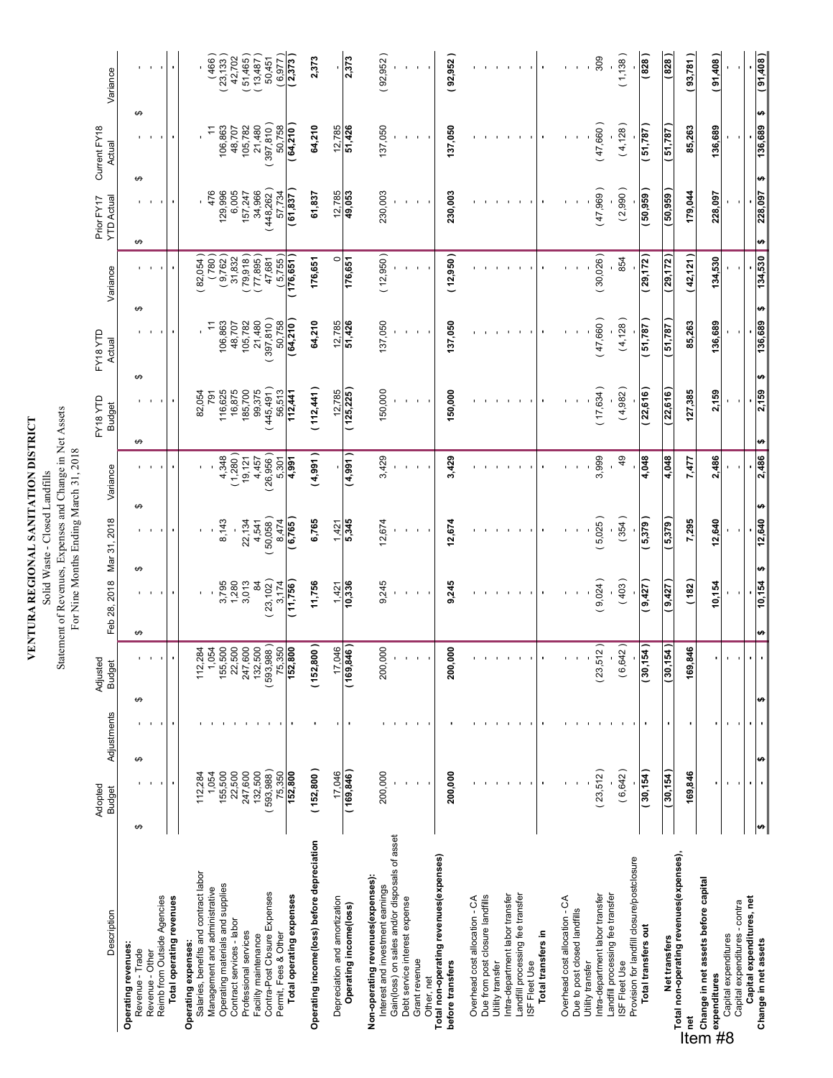| VENTURA REGIONAL SANITATION DISTRICT | Solid Waste - Closed Landfills | atement of Revenues Expanses and Change in Net Assets |
|--------------------------------------|--------------------------------|-------------------------------------------------------|
|                                      |                                |                                                       |

Statement of Revenues, Expenses and Change in Net Assets<br>For Nine Months Ending March 31, 2018 Statement of Revenues, Expenses and Change in Net Assets For Nine Months Ending March 31, 2018

| Description                                                                                                                                                | Adopted<br><b>Budget</b> | Adjustments | Adjusted<br><b>Budget</b>    | Feb 28, 2018 Mar 31, 2018 |                  | Variance                       | EY18YTD<br><b>Budget</b>            | EY18YTD<br>Actual    | Variance               | <b>YTD Actual</b><br>Prior FY17 | Current FY18<br>Actual | Variance               |
|------------------------------------------------------------------------------------------------------------------------------------------------------------|--------------------------|-------------|------------------------------|---------------------------|------------------|--------------------------------|-------------------------------------|----------------------|------------------------|---------------------------------|------------------------|------------------------|
| Operating revenues:                                                                                                                                        |                          |             |                              |                           |                  |                                |                                     |                      |                        |                                 |                        |                        |
| ↮<br>Revenue - Trade                                                                                                                                       | ↮                        | ↮           |                              | ↮<br>↮                    |                  | ↮                              | ↮<br>↮                              |                      | ↮                      | ↮<br>↮                          | ↮                      |                        |
| Reimb from Outside Agencies<br>Revenue - Other                                                                                                             |                          |             |                              |                           |                  |                                |                                     |                      |                        |                                 |                        |                        |
| Total operating revenues                                                                                                                                   | ٠                        |             |                              |                           |                  |                                |                                     |                      | ٠                      |                                 | ٠                      | $\blacksquare$         |
| Operating expenses:                                                                                                                                        | 112,284                  |             |                              |                           |                  |                                | 82,054                              |                      | 82,054)                |                                 |                        |                        |
| Salaries, benefits and contract labor<br>Management and administrative                                                                                     | 1,054                    |             | 112,284<br>1,054<br>155,500  |                           |                  |                                | 791                                 | Ξ                    | (780)                  | 476                             | Ξ                      | (466)                  |
| Operating materials and supplies                                                                                                                           | 155,500                  |             |                              | 3,795                     | 8,143            | 4,348                          | 116,625                             | 106,863              | (9,762)                | 129,996                         | 106,863                | 23,133                 |
| Contract services - labor                                                                                                                                  | 22,500                   |             |                              | 1,280                     |                  | (1,280)                        | 16,875                              | 48,707               | 31,832                 | 6,005                           | 48,707                 | 42,702                 |
| Professional services                                                                                                                                      | 247,600                  |             | 22,500<br>247,600<br>132,500 | 3,013                     | 22,134           | 19,121                         | 185,700                             | 105,782              | $(79,918)$<br>(77,895) | 157,247                         | 105,782<br>21,480      | $(51,465)$<br>(13,487) |
| Facility maintenance                                                                                                                                       | 593,988)<br>132,500      |             | (593, 988)                   | 23,102)<br>$\overline{8}$ | 50,058)<br>4,541 | 26,956)<br>4,457               | 445,491)<br>99,375                  | (397, 810)<br>21,480 | 47,681                 | (448,262)<br>34,966             | (397, 810)             | 50,451                 |
| Contra-Post Closure Expenses<br>Permit, Fees & Other                                                                                                       | 75,350                   |             |                              | 3,174                     | 8,474            | 5,301                          | 56,513                              | 50,758               | (5,755)                | 57,734                          | 50,758                 | (6, 977)               |
| Total operating expenses                                                                                                                                   | 152,800                  |             | $\frac{75,350}{152,800}$     | (11,756)                  | (6,765)          | 4,991                          | 112,441                             | (64,210)             | 176,651                | (61, 837)                       | (64,210)               | (2,373)                |
| Operating income(loss) before depreciation                                                                                                                 | (152,800)                |             | (152, 800)                   | 11,756                    | 6,765            | (4,991)                        | 112,441                             | 64,210               | 176,651                | 61,837                          | 64,210                 | 2,373                  |
| Depreciation and amortization                                                                                                                              | 17.046                   |             |                              | 1,421                     | 1,421            |                                | 12,785                              | 12,785               | $\circ$                | 12,785                          | 12,785                 |                        |
| Operating income(loss)                                                                                                                                     | (169, 846)               |             | $\frac{17,046}{(169,846)}$   | 10,336                    | 5,345            | (4,991)                        | (125, 225)                          | 51,426               | 176,651                | 49,053                          | 51,426                 | 2,373                  |
| Non-operating revenues(expenses):<br>Interest and investment earnings                                                                                      | 200,000                  |             | 200,000                      | 9,245                     | 12,674           | 3,429                          | 150,000                             | 137,050              | (12,950)               | 230,003                         | 137,050                | (92, 952)              |
| Gain(loss) on sales and/or disposals of asset                                                                                                              |                          |             |                              |                           |                  |                                |                                     |                      |                        |                                 |                        |                        |
| Debt service interest expense                                                                                                                              |                          |             |                              |                           |                  |                                |                                     |                      |                        |                                 |                        |                        |
| Grant revenue<br>Other, net                                                                                                                                |                          |             |                              |                           |                  |                                |                                     |                      |                        |                                 |                        |                        |
| Total non-operating revenues(expenses)                                                                                                                     |                          |             |                              |                           |                  |                                |                                     |                      |                        |                                 |                        |                        |
| before transfers                                                                                                                                           | 200,000                  |             | 200,000                      | 9,245                     | 12,674           | 3,429                          | 150,000                             | 137,050              | (12,950)               | 230,003                         | 137,050                | (92, 952)              |
| Overhead cost allocation - CA                                                                                                                              |                          |             |                              |                           |                  |                                |                                     |                      |                        |                                 |                        |                        |
| Due from post closure landfills<br>Utility transfer                                                                                                        |                          |             |                              |                           |                  |                                |                                     |                      |                        |                                 |                        |                        |
| Intra-department labor transfer                                                                                                                            |                          |             |                              |                           |                  |                                |                                     |                      |                        |                                 |                        |                        |
| Landfill processing fee transfer                                                                                                                           |                          |             |                              |                           |                  |                                |                                     |                      |                        |                                 |                        |                        |
| ISF Fleet Use                                                                                                                                              |                          |             |                              |                           |                  |                                |                                     |                      |                        |                                 |                        |                        |
| Total transfers in                                                                                                                                         |                          |             |                              |                           |                  |                                |                                     |                      |                        |                                 |                        |                        |
| Overhead cost allocation - CA                                                                                                                              |                          |             |                              |                           |                  |                                |                                     |                      |                        |                                 |                        |                        |
| Due to post closed landfills<br>Utility transfer                                                                                                           |                          |             |                              |                           |                  |                                |                                     |                      |                        |                                 |                        |                        |
| Intra-department labor transfer                                                                                                                            | (23,512)                 |             | $\vert$ 2)<br>(23, 51)       | (9,024)                   | (5,025)          | 3,999                          | (17, 634)                           | (47,660)             | (30,026)               | (47,969)                        | (47,660)               | 309                    |
| Landfill processing fee transfer<br>ISF Fleet Use                                                                                                          | (6, 642)                 |             | (6, 642)                     | (403)                     | (354)            | 49                             | (4,982)                             | (4, 128)             | 854                    | (2,990)                         | (4, 128)               | (1, 138)               |
| Provision for landfill closure/postclosure                                                                                                                 |                          |             |                              |                           |                  |                                |                                     |                      |                        |                                 |                        |                        |
| Total transfers out                                                                                                                                        | (30, 154)                |             | 30,154)                      | 9,427                     | (5,379)          | 4,048                          | 22,616                              | 51,787)              | (29, 172)              | 50,959)                         | (51,787)               | (828)                  |
| Net transfers                                                                                                                                              | 30,154                   |             | (155)<br>30,1                | (9, 427)                  | (5,379)          | 4,048                          | 22,616                              | 51,787               | 29,172                 | 50,959                          | <b>L87'L9</b>          | (828)                  |
| Total non-operating revenues(expenses),                                                                                                                    | 169,846                  |             | 169,846                      | (182)                     | 7,295            | 7,477                          | 127,385                             | 85,263               | (42, 121)              | 179,044                         | 85,263                 | (93,781)               |
| — ru∝ i i i i i i specienciano<br>Othange in net assets before capital<br>⊃ Change in net assets before capital<br>er in net<br>expenditures<br>Candidates |                          |             |                              |                           |                  |                                |                                     |                      |                        |                                 |                        |                        |
| Capital expenditures                                                                                                                                       |                          |             |                              | 10,154                    | 12,640           | 2,486                          | 2,159                               | 136,689              | 134,530                | 228,097                         | 136,689                | (91,408)               |
| Capital expenditures - contra                                                                                                                              |                          |             |                              |                           |                  |                                |                                     |                      |                        |                                 |                        |                        |
| Capital expenditures, net<br>Change in net assets                                                                                                          | ₩                        | ₩           |                              | ₩<br>10,154<br>$\bullet$  | 12,640           | 2,486<br>$\boldsymbol{\omega}$ | ₩<br>2,159<br>$\boldsymbol{\theta}$ | 136,689              | 134,530<br>₩           | ₩<br>228,097<br>₩               | ω<br>136,689           | (91,408)               |
|                                                                                                                                                            |                          |             |                              |                           |                  |                                |                                     |                      |                        |                                 |                        |                        |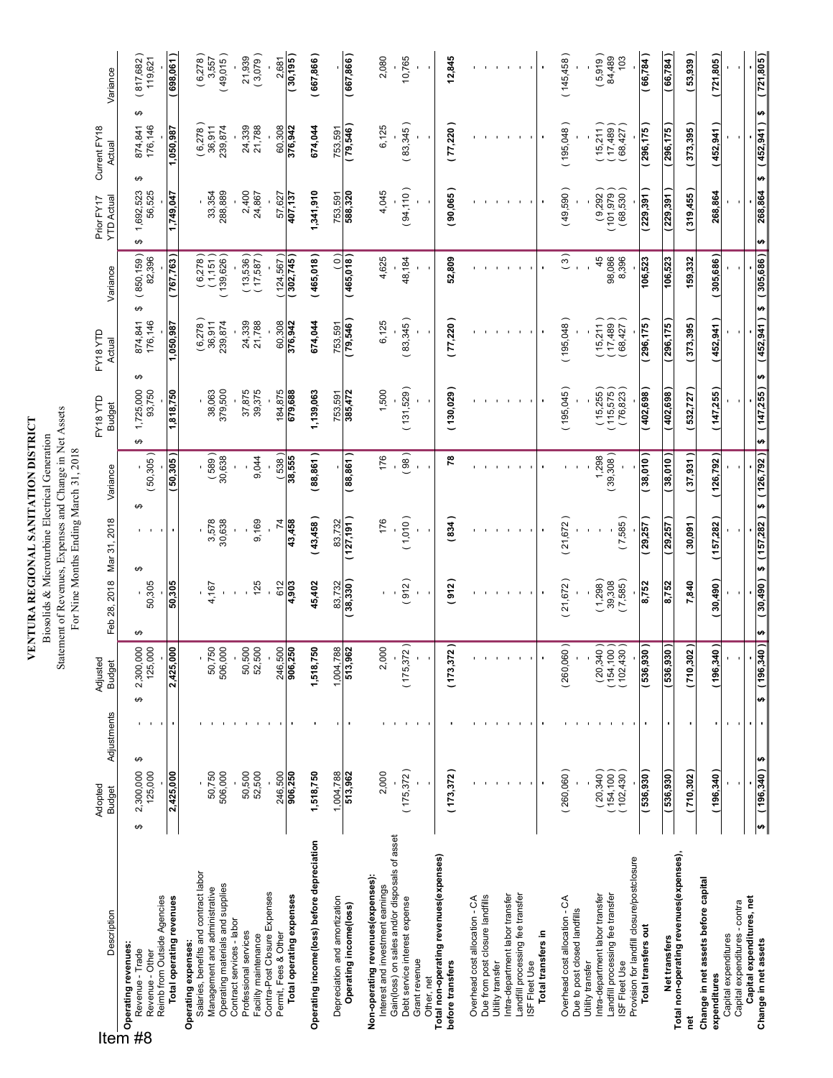**VENTURA REGIONAL SANITATION DISTRICT**<br>Biosolids & Microturbine Electrical Generation<br>Statement of Revenues, Expenses and Change in Net Assets<br>For Nine Months Ending March 31, 2018 **VENTURA REGIONAL SANITATION DISTRICT** Biosolids & Microturbine Electrical Generation

Statement of Revenues, Expenses and Change in Net Assets For Nine Months Ending March 31, 2018

|    | Description<br>Description of Description of the Second Second<br>Operating revenues:<br>Operating revenues:                      | Adopted<br><b>Budget</b>                | Adjustments | Adjuste<br><b>Budget</b>                                          | Feb 28, 2018      | Mar 31, 2018             | Variance            | FY18YTD<br><b>Budget</b>                                   | EY18YTD<br>Actual                     | Variance                          | <b>YTD Actual</b><br>Prior FY17 | Current FY18<br>Actual                | Variance                     |
|----|-----------------------------------------------------------------------------------------------------------------------------------|-----------------------------------------|-------------|-------------------------------------------------------------------|-------------------|--------------------------|---------------------|------------------------------------------------------------|---------------------------------------|-----------------------------------|---------------------------------|---------------------------------------|------------------------------|
| #8 | Reimb from Outside Agencies<br>Revenue - Trade<br>Revenue - Other                                                                 | 2,300,000<br>125,000<br>↮               | ↮           | 2,300,000<br>↮                                                    | 50,305<br>↮       | ↮                        | 50,305)<br>↮        | 1,725,000<br>93,750<br>↮                                   | 176,146<br>874,841<br>↮               | (850, 159)<br>82,396<br>↮         | 56,525<br>1,692,523<br>↮        | ↮<br>176,146<br>874,841<br>↮          | (817, 682)<br>119,621        |
|    | Total operating revenues                                                                                                          | 2,425,000                               |             | <b>Soo</b><br>2,425,                                              | 50,305            |                          | 50,305              | 1,818,750                                                  | 1,050,987                             | 767,763                           | 1,749,047                       | 1,050,987                             | (698,061)                    |
|    | Salaries, benefits and contract labor<br>Operating materials and supplies<br>Management and administrative<br>Operating expenses: | 506,000<br>50,750                       |             | 50,750<br>506,000                                                 | 4,167             | 30,638<br>3,578          | $(589)$<br>$30,638$ | 38,063<br>379,500                                          | (6,278)<br>239,874<br>36,911          | $(6,278)$<br>$(1,151)$<br>139,626 | 33,354<br>288,889               | $(6,278)$<br>36,911<br>239,874        | (49,015)<br>(6,278)<br>3,557 |
|    | Contract services - labor<br>Professional services                                                                                | 50,500                                  |             | 50,500                                                            |                   |                          |                     | 37,875                                                     | 24,339                                | $(13,536)$<br>$(17,587)$          | 2,400                           | 24,339                                | 21,939                       |
|    | Contra-Post Closure Expenses<br>Facility maintenance                                                                              | 52,500                                  |             | 52,500                                                            | 125               | 9,169                    | 9,044               | 39,375                                                     | 21,788                                |                                   | 24,867                          | 21,788                                | (3,079)                      |
|    | Total operating expenses<br>Permit, Fees & Other                                                                                  | 246,500<br>906,250                      |             | 246,500<br>906,250                                                | 612<br>4,903      | 43,458<br>$\overline{7}$ | (538)<br>38,555     | 184,875<br>679,688                                         | 60,308<br>376,942                     | (302,745)<br>124,567              | 57,627<br>407,137               | 60,308<br>376,942                     | (30, 195)<br>2,681           |
|    | Operating income(loss) before depreciation                                                                                        | 1,518,750                               |             | 1,518,750                                                         | 45,402            | (43,458)                 | (88, 861)           | 1,139,063                                                  | 674,044                               | (465,018)                         | 1,341,910                       | 674,044                               | (667, 866)                   |
|    | Depreciation and amortization                                                                                                     | 1,004,788                               |             | $\frac{1,004,788}{513,962}$                                       | 83,732            | 83,732                   |                     | 753,591                                                    | 753,591                               | $\widehat{c}$                     | 753,591                         | 753,591                               |                              |
|    | Operating income(loss)                                                                                                            | 513,962                                 |             |                                                                   | (38, 330)         | (127, 191)               | (88, 861)           | 385,472                                                    | (79,546)                              | (465,018)                         | 588,320                         | (79,546)                              | (667, 866)                   |
|    | Non-operating revenues (expenses):<br>Interest and investment earnings                                                            | 2,000                                   |             | 2,000                                                             |                   | 176                      | 176                 | 1,500                                                      | 6,125                                 | 4,625                             | 4,045                           | 6,125                                 | 2,080                        |
|    | Gain(loss) on sales and/or disposals of asset<br>Debt service interest expense                                                    | (175, 372)                              |             | (175,372)                                                         | 912)              | (1,010)                  | (98)                | (131,529)                                                  | (83,345)                              | 48,184                            | (94, 110)                       | (83,345)                              | 10,765                       |
|    | Grant revenue<br>Other, net                                                                                                       |                                         |             |                                                                   |                   |                          | $\mathbf{r}$        |                                                            |                                       |                                   |                                 |                                       |                              |
|    | Total non-operating revenues(expenses)<br>before transfers                                                                        | (173, 372)                              |             | (173, 372)                                                        | (912)             | (834)                    | 78                  | (130, 029)                                                 | (77, 220)                             | 52,809                            | (90,065)                        | (77, 220)                             | 12,845                       |
|    | Overhead cost allocation - CA                                                                                                     |                                         |             |                                                                   |                   |                          |                     |                                                            |                                       |                                   |                                 |                                       |                              |
|    | Due from post closure landfills<br>Utility transfer                                                                               |                                         |             |                                                                   |                   |                          |                     |                                                            |                                       |                                   |                                 |                                       |                              |
|    | Landfill processing fee transfer<br>Intra-department labor transfer                                                               |                                         |             |                                                                   |                   |                          |                     |                                                            |                                       |                                   |                                 |                                       |                              |
|    | ISF Fleet Use                                                                                                                     |                                         |             |                                                                   |                   |                          |                     |                                                            |                                       |                                   |                                 |                                       |                              |
|    | Total transfers in                                                                                                                |                                         |             |                                                                   | $\blacksquare$    | $\blacksquare$           |                     |                                                            |                                       |                                   |                                 |                                       |                              |
|    | Overhead cost allocation - CA<br>Due to post closed landfills                                                                     | (260,060)                               |             | (260,060)                                                         | (21, 672)         | (21, 672)                |                     | (195,045)                                                  | (195,048)                             | $\binom{3}{ }$                    | (49,590)                        | (195,048)                             | (145, 458)                   |
|    | Intra-department labor transfer<br>Utility transfer                                                                               |                                         |             |                                                                   | (1,298)           |                          |                     |                                                            |                                       |                                   | (9,292)                         |                                       | (5,919)                      |
|    | Landfill processing fee transfer<br>ISF Fleet Use                                                                                 | $(20,340)$<br>$(154,100)$<br>(102, 430) |             | $\begin{array}{c} (20,340) \\ (154,100) \\ (102,430) \end{array}$ | (7,585)<br>39,308 |                          | (39,308)            | $(15,255)$<br>$(115,575)$<br>(76, 823)                     | $(15,211)$<br>$(17,489)$<br>(68, 427) | 45<br>98,086                      | $(101,979)$<br>$(68,530)$       | $(15,211)$<br>$(17,489)$<br>(68, 427) | 84,489<br>103                |
|    | Provision for landfill closure/postclosure                                                                                        |                                         |             |                                                                   |                   | (7,585)                  |                     |                                                            |                                       | 8,396                             |                                 |                                       |                              |
|    | Total transfers out                                                                                                               | ( 536,930 )                             |             | (536, 930)                                                        | 8,752             | 29,257)                  | (38,010)            | (402,698)                                                  | 296,175                               | 106,523                           | (229, 391)                      | 296,175                               | (66, 784)                    |
|    | Net transfers<br>Total non-operating revenues(expenses),                                                                          | $\frac{1}{1536,930}$                    |             | (536, 930)                                                        | 8,752             | 29,257                   | 38,010              | (402, 698)                                                 | 296,175                               | 106,523                           | 229,391                         | 296,175                               | (66, 784)                    |
|    | ē                                                                                                                                 | (710,302)                               |             | (710,302)                                                         | 7,840             | (30,091)                 | (37, 931)           | (532, 727)                                                 | (373, 395)                            | 159,332                           | (319, 455)                      | (373, 395)                            | (53,939)                     |
|    | Change in net assets before capital<br>expenditures                                                                               | (196, 340)                              |             | (196, 340)                                                        | (30,490)          | (157,282)                | (126, 792)          | (147, 255)                                                 | (452, 941)                            | (305,686)                         | 268,864                         | (452, 941)                            | (721,805)                    |
|    | Capital expenditures - contra<br>Capital expenditures                                                                             |                                         |             |                                                                   |                   |                          |                     |                                                            |                                       |                                   |                                 |                                       |                              |
|    | Capital expenditures, net                                                                                                         |                                         |             |                                                                   |                   |                          |                     |                                                            |                                       |                                   |                                 |                                       |                              |
|    | Change in net assets                                                                                                              | $(196, 340)$ \$<br>ø                    |             | $$ (196, 340)$ \$                                                 |                   |                          |                     | $(30,490)$ \$ $(157,282)$ \$ $(126,792)$ \$ $(147,255)$ \$ |                                       | $(452,941)$ \$ $(305,686)$ \$     |                                 | 268,864 \$ (452,941) \$               | (721,805)                    |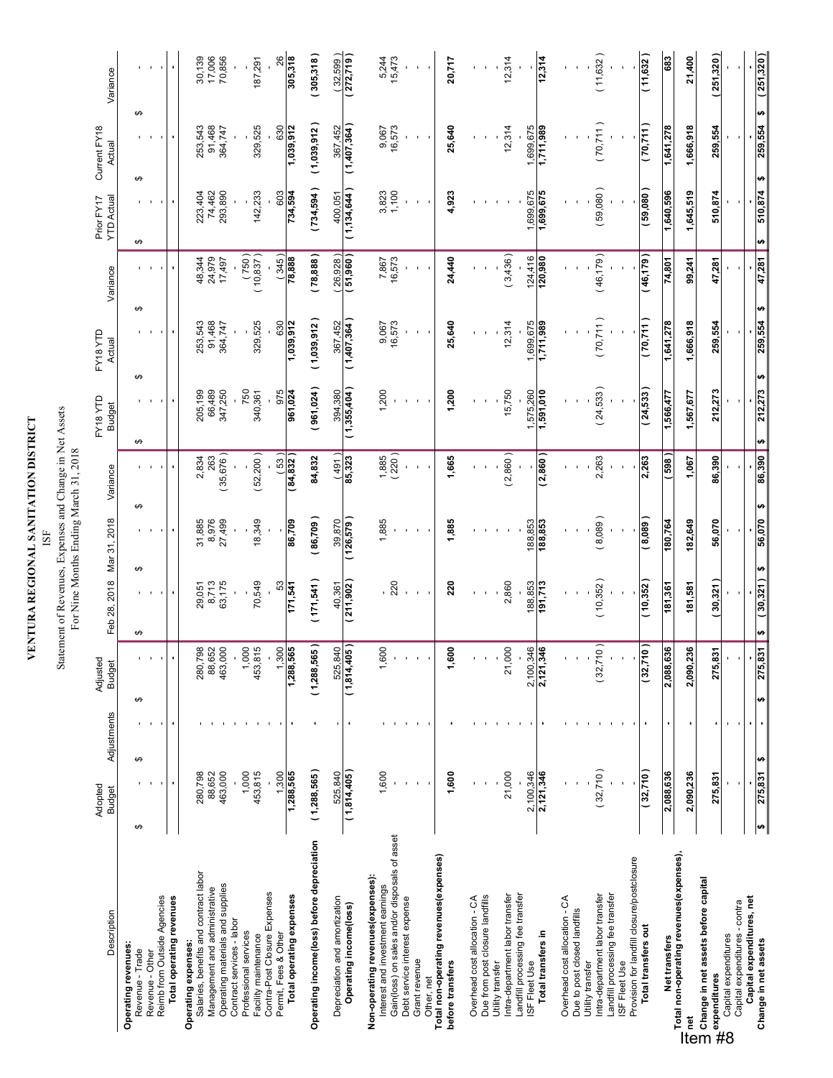# **VENTURA REGIONAL SANITATION DISTRICT**

## **VENTURA REGIONAL SANITATION DISTRICT**<br>ISF<br>Statement of Revenues, Expenses and Change in Net Assets<br>For Nine Months Ending March 31, 2018 Statement of Revenues, Expenses and Change in Net Assets

| Description                                                                                                                                                             | Adopted<br><b>Budget</b> | Adjustments | Adjusted<br><b>Budget</b>     | Feb 28, 2018          | Mar 31, 2018 | Variance       | FY18 YTD<br><b>Budget</b>     | FY18YTD<br>Actual | Variance                    | <b>YTD Actual</b><br>Prior FY17 | Current FY18<br>Actual        | Variance                   |
|-------------------------------------------------------------------------------------------------------------------------------------------------------------------------|--------------------------|-------------|-------------------------------|-----------------------|--------------|----------------|-------------------------------|-------------------|-----------------------------|---------------------------------|-------------------------------|----------------------------|
| Operating revenues:<br>Revenue - Trade                                                                                                                                  | ↮<br>↮                   |             | $\theta$                      | ↮<br>↮                |              | ↮              | ↮                             | ↮                 | ↮                           | ↮                               | ↮<br>↮                        |                            |
| Revenue - Other                                                                                                                                                         |                          |             |                               |                       |              |                |                               |                   |                             |                                 |                               |                            |
| Reimb from Outside Agencies                                                                                                                                             |                          |             |                               |                       |              |                |                               |                   |                             |                                 |                               |                            |
| Total operating revenues                                                                                                                                                |                          |             |                               |                       |              |                |                               |                   |                             |                                 |                               |                            |
| Salaries, benefits and contract labor<br>Operating expenses:                                                                                                            | 280,798                  |             |                               | 29,051                | 31,885       |                |                               | 253,543           | 48,344                      | 223,404                         | 253,543                       |                            |
| Management and administrative                                                                                                                                           | 88,652                   |             | 280,798<br>88,652<br>463,000  | 8,713                 | 8,976        | 2,834<br>263   | 205,199<br>66,489             | 91,468            | 24,979                      | 74,462                          | 91,468                        | 30,139<br>17,006<br>70,856 |
| Operating materials and supplies<br>Contract services - labor                                                                                                           | 463,000                  |             |                               | 63,175                | 27,499       | 35,676)        | 347,250                       | 364,747           | 17,497                      | 293,890                         | 364,747                       |                            |
| Professional services                                                                                                                                                   | 1,000                    |             | 1,000                         |                       |              |                | 750                           |                   |                             |                                 |                               |                            |
| Facility maintenance                                                                                                                                                    | 453,815                  |             | 453,815                       | 70,549                | 18,349       | 52,200)        | 340,361                       | 329,525           | (10, 837)                   | 142,233                         | 329,525                       | 187,291                    |
| Contra-Post Closure Expenses<br>Permit, Fees & Other                                                                                                                    | 1,300                    |             | 1,300                         | 53                    |              | (53)           | 975                           | 630               | (345)                       | 603                             | 630                           | 26                         |
| Total operating expenses                                                                                                                                                | 1,288,565                |             | 1,288,565                     | 171,541               | 86,709       | (84, 832)      | 961,024                       | 1,039,912         | 888,87                      | 734,594                         | 1,039,912                     | 305,318                    |
| Operating income(loss) before depreciation                                                                                                                              | (1,288,565)              |             | (1,288,565)                   | (171, 541)            | 86,709)      | 84,832         | 961,024)                      | (1,039,912)       | 78,888                      | (734, 594)                      | (1,039,912)                   | 305,318                    |
| Depreciation and amortization                                                                                                                                           | 525,840                  |             |                               |                       | 39,870       | (164)          |                               | 367,452           |                             |                                 |                               | (32, 599)                  |
| Operating income(loss)                                                                                                                                                  | (1,814,405)              |             | (1,814,405)                   | $40,361$<br>(211,902) | (126,579)    | 85,323         | (1,355,404)                   | (1,407,364)       | $\frac{(26,928)}{(51,960)}$ | $400,051$<br>(1,134,644)        | $\frac{367,452}{(1,407,364)}$ | (272,719)                  |
| Non-operating revenues (expenses):<br>Interest and investment earnings                                                                                                  | 1,600                    |             | 1,600                         |                       | 1,885        |                | 1,200                         | 9,067             | 7,867                       |                                 |                               |                            |
| Gain(loss) on sales and/or disposals of asset                                                                                                                           |                          |             |                               | $-220$                |              | 1,885<br>(220) |                               | 16,573            | 16,573                      | 3,823                           | 9,067<br>16,573               | 5,244<br>15,473            |
| Debt service interest expense                                                                                                                                           |                          |             |                               |                       |              |                |                               |                   |                             |                                 |                               |                            |
| Grant revenue<br>Other, net                                                                                                                                             |                          |             |                               |                       |              |                |                               |                   |                             | $\mathbf{r}$                    |                               |                            |
| Total non-operating revenues(expenses)<br>before transfers                                                                                                              | 1,600                    |             | 1,600                         | 220                   | 1,885        | 1,665          | 1,200                         | 25,640            | 24,440                      | 4,923                           | 25,640                        | 20,717                     |
|                                                                                                                                                                         |                          |             |                               |                       |              |                |                               |                   |                             |                                 |                               |                            |
| Due from post closure landfills<br>Overhead cost allocation - CA                                                                                                        |                          |             |                               |                       |              |                |                               |                   |                             |                                 |                               |                            |
| Utility transfer                                                                                                                                                        |                          |             |                               |                       |              |                |                               |                   |                             |                                 |                               |                            |
| Intra-department labor transfer                                                                                                                                         | 21,000                   |             | 21,000                        | 2,860                 |              | (2,860)        | 15,750                        | 12,314            | (3,436)                     |                                 | 12,314                        | 12,314                     |
| Landfill processing fee transfer<br>ISF Fleet Use                                                                                                                       | 2,100,346                |             |                               | 188,853               | 188,853      |                |                               | 1,699,675         | 124,416                     | 1,699,675                       | 1,699,675                     |                            |
| Total transfers in                                                                                                                                                      | 2,121,346                |             | $\frac{2,100,346}{2,121,346}$ | 191,713               | 188,853      | (2,860)        | $\frac{1,575,260}{1,591,010}$ | 686'11'1          | 120,980                     | 1,699,675                       | 1,711,989                     | 12,314                     |
| Overhead cost allocation - CA                                                                                                                                           |                          |             |                               |                       |              |                |                               |                   |                             |                                 |                               |                            |
| Due to post closed landfills                                                                                                                                            |                          |             |                               |                       |              |                |                               |                   |                             |                                 |                               |                            |
| Intra-department labor transfer<br>Utility transfer                                                                                                                     | (32,710)                 |             | (32,710)                      | (10, 352)             | (8,089)      | 2,263          | (24, 533)                     | (70, 711)         | (46, 179)                   | (59,080)                        | (70,711)                      | (11,632)                   |
| Landfill processing fee transfer<br>ISF Fleet Use                                                                                                                       |                          |             |                               |                       |              |                |                               |                   |                             |                                 |                               |                            |
| Provision for landfill closure/postclosure                                                                                                                              |                          |             |                               |                       |              |                |                               |                   |                             |                                 |                               |                            |
| Total transfers out                                                                                                                                                     | (32,710)                 |             | $\overline{e}$<br>(32,7)      | (10, 352)             | (8,089)      | 2,263          | (24, 533)                     | (70,711)          | (46, 179)                   | (59,080)                        | (70,711)                      | 11,632)                    |
| Net transfers                                                                                                                                                           | 2,088,636                |             | 636<br>2,088,                 | 181,361               | 180,764      | 598            | 1,566,477                     | 1,641,278         | 74,801                      | 1,640,596                       | 1,641,278                     | 683                        |
| Total non-operating revenues(expenses),<br>— ruan mon-operaanig i o vennes popper<br>That<br>Diange in net assets before capital<br>Diange in net assets before capital | 2,090,236                |             | 2,090,236                     | 181,581               | 182,649      | 1,067          | 1,567,677                     | 1,666,918         | 99,241                      | 1,645,519                       | 1,666,918                     | 21,400                     |
| es in net<br>expenditures<br>Cantal                                                                                                                                     | 275,831                  |             | នី<br>275,                    | (30, 321)             | 56,070       | 86,390         | 212,273                       | 259,554           | 47,281                      | 510,874                         | 259,554                       | (251, 320)                 |
| Capital expenditures - contra<br>Capital expenditures                                                                                                                   |                          |             |                               |                       |              |                |                               |                   |                             |                                 |                               |                            |
| Capital expenditures, net                                                                                                                                               |                          |             |                               |                       |              |                |                               |                   |                             |                                 |                               |                            |
| Change in net assets                                                                                                                                                    | ₩<br>275,831             |             | 275,831<br>₩                  | ₩<br>30,321<br>₩      | 56,070       | 86,390<br>₩    | 212,273<br>₩                  | 259,554<br>₩      | 47,281<br>₩                 | 510,874<br>₩                    | ₩<br>259,554<br>₩             | 251,320)                   |